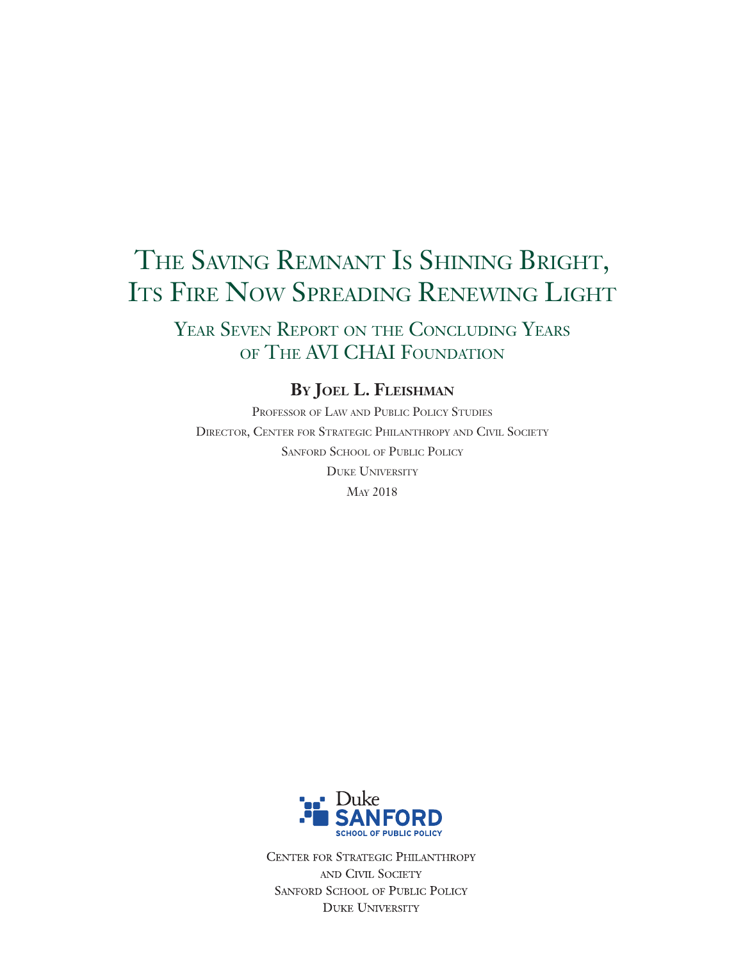# THE SAVING REMNANT IS SHINING BRIGHT, ITS FIRE NOW SPREADING RENEWING LIGHT

YEAR SEVEN REPORT ON THE CONCLUDING YEARS of The AVI CHAI Foundation

## **By Joel L. Fleishman**

Professor of Law and Public Policy Studies Director, Center for Strategic Philanthropy and Civil Society Sanford School of Public Policy Duke University May 2018



CENTER FOR STRATEGIC PHILANTHROPY AND CIVIL SOCIETY SANFORD SCHOOL OF PUBLIC POLICY **DUKE UNIVERSITY**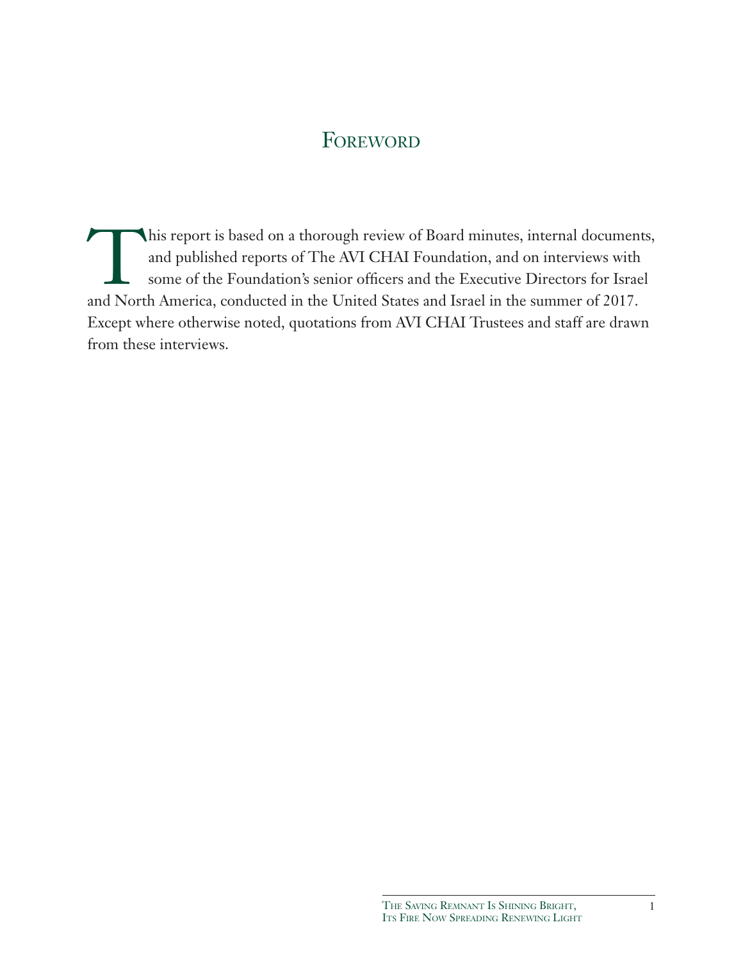## **FOREWORD**

This report is based on a thorough review of Board minutes, internal documents,<br>and published reports of The AVI CHAI Foundation, and on interviews with<br>some of the Foundation's senior officers and the Executive Directors and published reports of The AVI CHAI Foundation, and on interviews with some of the Foundation's senior officers and the Executive Directors for Israel and North America, conducted in the United States and Israel in the summer of 2017. Except where otherwise noted, quotations from AVI CHAI Trustees and staff are drawn from these interviews.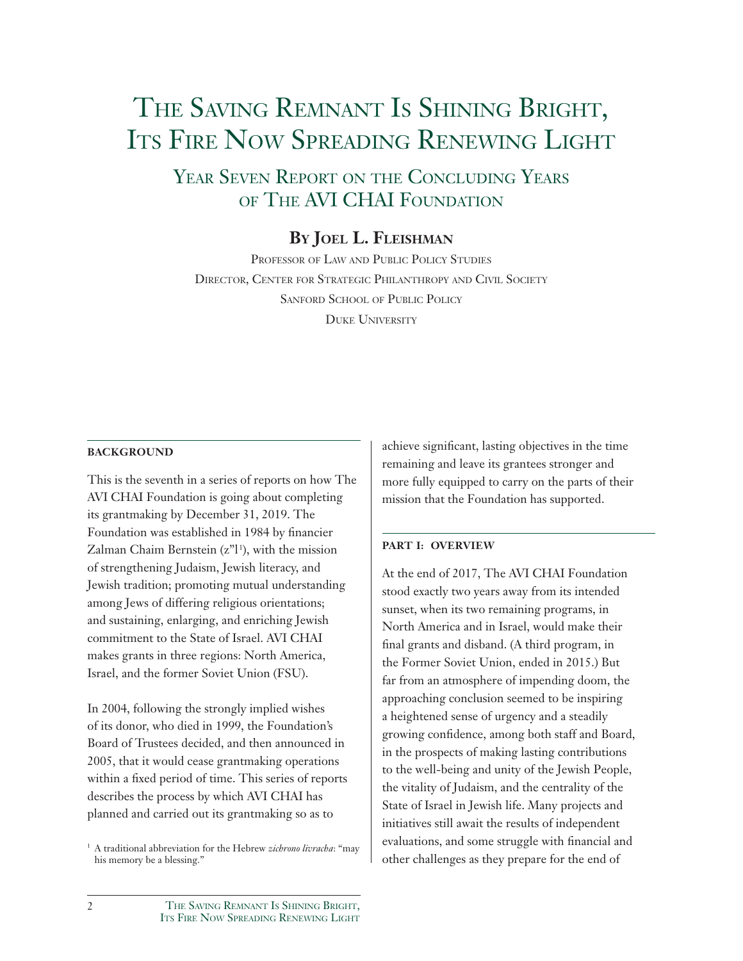# THE SAVING REMNANT IS SHINING BRIGHT, ITS FIRE NOW SPREADING RENEWING LIGHT

Year Seven Report on the Concluding Years of The AVI CHAI Foundation

## **By Joel L. Fleishman**

Professor of Law and Public Policy Studies Director, Center for Strategic Philanthropy and Civil Society Sanford School of Public Policy DUKE UNIVERSITY

#### **BACKGROUND**

This is the seventh in a series of reports on how The AVI CHAI Foundation is going about completing its grantmaking by December 31, 2019. The Foundation was established in 1984 by financier Zalman Chaim Bernstein  $(z<sup>n</sup>1<sup>i</sup>)$ , with the mission of strengthening Judaism, Jewish literacy, and Jewish tradition; promoting mutual understanding among Jews of differing religious orientations; and sustaining, enlarging, and enriching Jewish commitment to the State of Israel. AVI CHAI makes grants in three regions: North America, Israel, and the former Soviet Union (FSU).

In 2004, following the strongly implied wishes of its donor, who died in 1999, the Foundation's Board of Trustees decided, and then announced in 2005, that it would cease grantmaking operations within a fixed period of time. This series of reports describes the process by which AVI CHAI has planned and carried out its grantmaking so as to

achieve significant, lasting objectives in the time remaining and leave its grantees stronger and more fully equipped to carry on the parts of their mission that the Foundation has supported.

#### **PART I: OVERVIEW**

At the end of 2017, The AVI CHAI Foundation stood exactly two years away from its intended sunset, when its two remaining programs, in North America and in Israel, would make their final grants and disband. (A third program, in the Former Soviet Union, ended in 2015.) But far from an atmosphere of impending doom, the approaching conclusion seemed to be inspiring a heightened sense of urgency and a steadily growing confidence, among both staff and Board, in the prospects of making lasting contributions to the well-being and unity of the Jewish People, the vitality of Judaism, and the centrality of the State of Israel in Jewish life. Many projects and initiatives still await the results of independent evaluations, and some struggle with financial and other challenges as they prepare for the end of

<sup>1</sup> A traditional abbreviation for the Hebrew *zichrono livracha*: "may his memory be a blessing."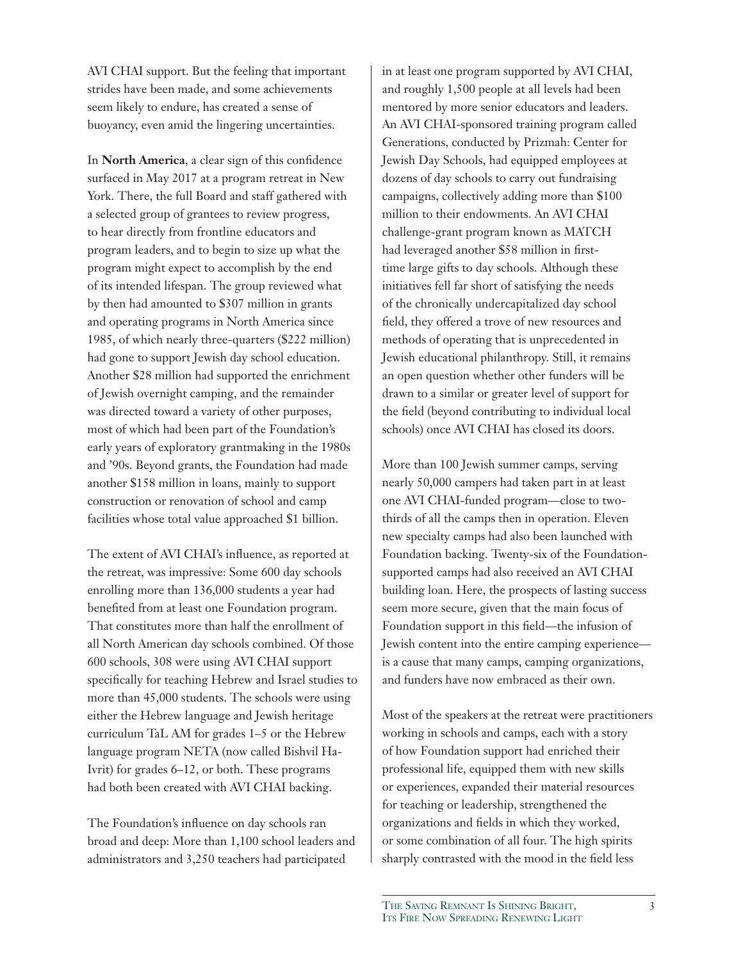AVI CHAI support. But the feeling that important strides have been made, and some achievements seem likely to endure, has created a sense of buoyancy, even amid the lingering uncertainties.

In **North America**, a clear sign of this confidence surfaced in May 2017 at a program retreat in New York. There, the full Board and staff gathered with a selected group of grantees to review progress, to hear directly from frontline educators and program leaders, and to begin to size up what the program might expect to accomplish by the end of its intended lifespan. The group reviewed what by then had amounted to \$307 million in grants and operating programs in North America since 1985, of which nearly three-quarters (\$222 million) had gone to support Jewish day school education. Another \$28 million had supported the enrichment of Jewish overnight camping, and the remainder was directed toward a variety of other purposes, most of which had been part of the Foundation's early years of exploratory grantmaking in the 1980s and '90s. Beyond grants, the Foundation had made another \$158 million in loans, mainly to support construction or renovation of school and camp facilities whose total value approached \$1 billion.

The extent of AVI CHAI's influence, as reported at the retreat, was impressive: Some 600 day schools enrolling more than 136,000 students a year had benefited from at least one Foundation program. That constitutes more than half the enrollment of all North American day schools combined. Of those 600 schools, 308 were using AVI CHAI support specifically for teaching Hebrew and Israel studies to more than 45,000 students. The schools were using either the Hebrew language and Jewish heritage curriculum TaL AM for grades 1–5 or the Hebrew language program NETA (now called Bishvil Ha-Ivrit) for grades 6–12, or both. These programs had both been created with AVI CHAI backing.

The Foundation's influence on day schools ran broad and deep: More than 1,100 school leaders and administrators and 3,250 teachers had participated

in at least one program supported by AVI CHAI, and roughly 1,500 people at all levels had been mentored by more senior educators and leaders. An AVI CHAI-sponsored training program called Generations, conducted by Prizmah: Center for Jewish Day Schools, had equipped employees at dozens of day schools to carry out fundraising campaigns, collectively adding more than \$100 million to their endowments. An AVI CHAI challenge-grant program known as MATCH had leveraged another \$58 million in firsttime large gifts to day schools. Although these initiatives fell far short of satisfying the needs of the chronically undercapitalized day school field, they offered a trove of new resources and methods of operating that is unprecedented in Jewish educational philanthropy. Still, it remains an open question whether other funders will be drawn to a similar or greater level of support for the field (beyond contributing to individual local schools) once AVI CHAI has closed its doors.

More than 100 Jewish summer camps, serving nearly 50,000 campers had taken part in at least one AVI CHAI-funded program—close to twothirds of all the camps then in operation. Eleven new specialty camps had also been launched with Foundation backing. Twenty-six of the Foundationsupported camps had also received an AVI CHAI building loan. Here, the prospects of lasting success seem more secure, given that the main focus of Foundation support in this field—the infusion of Jewish content into the entire camping experience is a cause that many camps, camping organizations, and funders have now embraced as their own.

Most of the speakers at the retreat were practitioners working in schools and camps, each with a story of how Foundation support had enriched their professional life, equipped them with new skills or experiences, expanded their material resources for teaching or leadership, strengthened the organizations and fields in which they worked, or some combination of all four. The high spirits sharply contrasted with the mood in the field less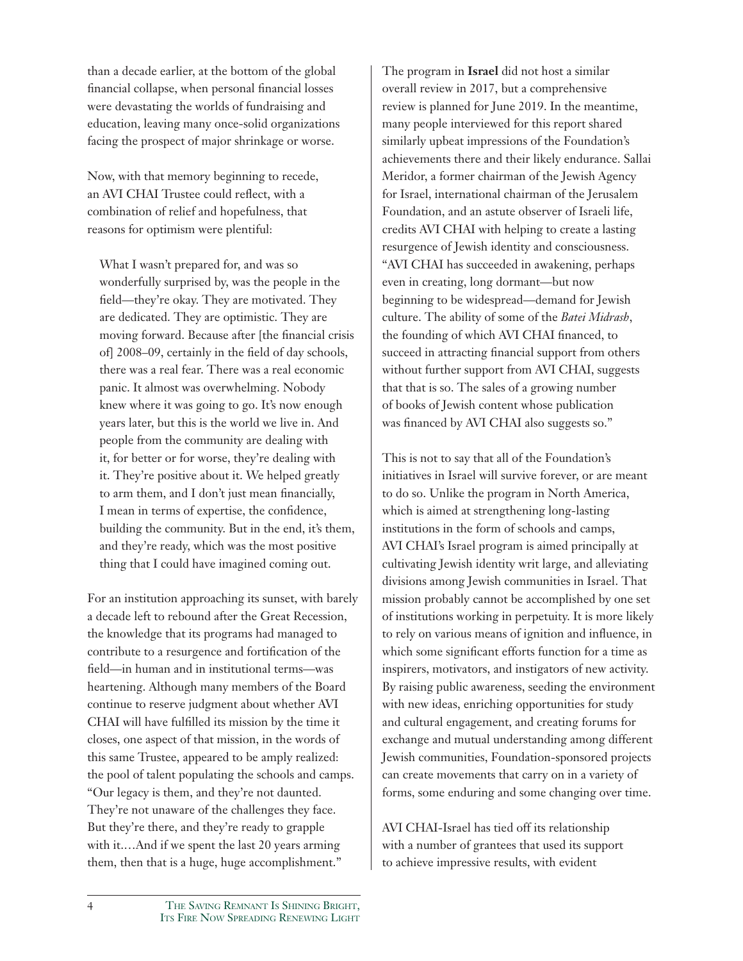than a decade earlier, at the bottom of the global financial collapse, when personal financial losses were devastating the worlds of fundraising and education, leaving many once-solid organizations facing the prospect of major shrinkage or worse.

Now, with that memory beginning to recede, an AVI CHAI Trustee could reflect, with a combination of relief and hopefulness, that reasons for optimism were plentiful:

What I wasn't prepared for, and was so wonderfully surprised by, was the people in the field—they're okay. They are motivated. They are dedicated. They are optimistic. They are moving forward. Because after [the financial crisis of] 2008–09, certainly in the field of day schools, there was a real fear. There was a real economic panic. It almost was overwhelming. Nobody knew where it was going to go. It's now enough years later, but this is the world we live in. And people from the community are dealing with it, for better or for worse, they're dealing with it. They're positive about it. We helped greatly to arm them, and I don't just mean financially, I mean in terms of expertise, the confidence, building the community. But in the end, it's them, and they're ready, which was the most positive thing that I could have imagined coming out.

For an institution approaching its sunset, with barely a decade left to rebound after the Great Recession, the knowledge that its programs had managed to contribute to a resurgence and fortification of the field—in human and in institutional terms—was heartening. Although many members of the Board continue to reserve judgment about whether AVI CHAI will have fulfilled its mission by the time it closes, one aspect of that mission, in the words of this same Trustee, appeared to be amply realized: the pool of talent populating the schools and camps. "Our legacy is them, and they're not daunted. They're not unaware of the challenges they face. But they're there, and they're ready to grapple with it.…And if we spent the last 20 years arming them, then that is a huge, huge accomplishment."

The program in **Israel** did not host a similar overall review in 2017, but a comprehensive review is planned for June 2019. In the meantime, many people interviewed for this report shared similarly upbeat impressions of the Foundation's achievements there and their likely endurance. Sallai Meridor, a former chairman of the Jewish Agency for Israel, international chairman of the Jerusalem Foundation, and an astute observer of Israeli life, credits AVI CHAI with helping to create a lasting resurgence of Jewish identity and consciousness. "AVI CHAI has succeeded in awakening, perhaps even in creating, long dormant—but now beginning to be widespread—demand for Jewish culture. The ability of some of the *Batei Midrash*, the founding of which AVI CHAI financed, to succeed in attracting financial support from others without further support from AVI CHAI, suggests that that is so. The sales of a growing number of books of Jewish content whose publication was financed by AVI CHAI also suggests so."

This is not to say that all of the Foundation's initiatives in Israel will survive forever, or are meant to do so. Unlike the program in North America, which is aimed at strengthening long-lasting institutions in the form of schools and camps, AVI CHAI's Israel program is aimed principally at cultivating Jewish identity writ large, and alleviating divisions among Jewish communities in Israel. That mission probably cannot be accomplished by one set of institutions working in perpetuity. It is more likely to rely on various means of ignition and influence, in which some significant efforts function for a time as inspirers, motivators, and instigators of new activity. By raising public awareness, seeding the environment with new ideas, enriching opportunities for study and cultural engagement, and creating forums for exchange and mutual understanding among different Jewish communities, Foundation-sponsored projects can create movements that carry on in a variety of forms, some enduring and some changing over time.

AVI CHAI-Israel has tied off its relationship with a number of grantees that used its support to achieve impressive results, with evident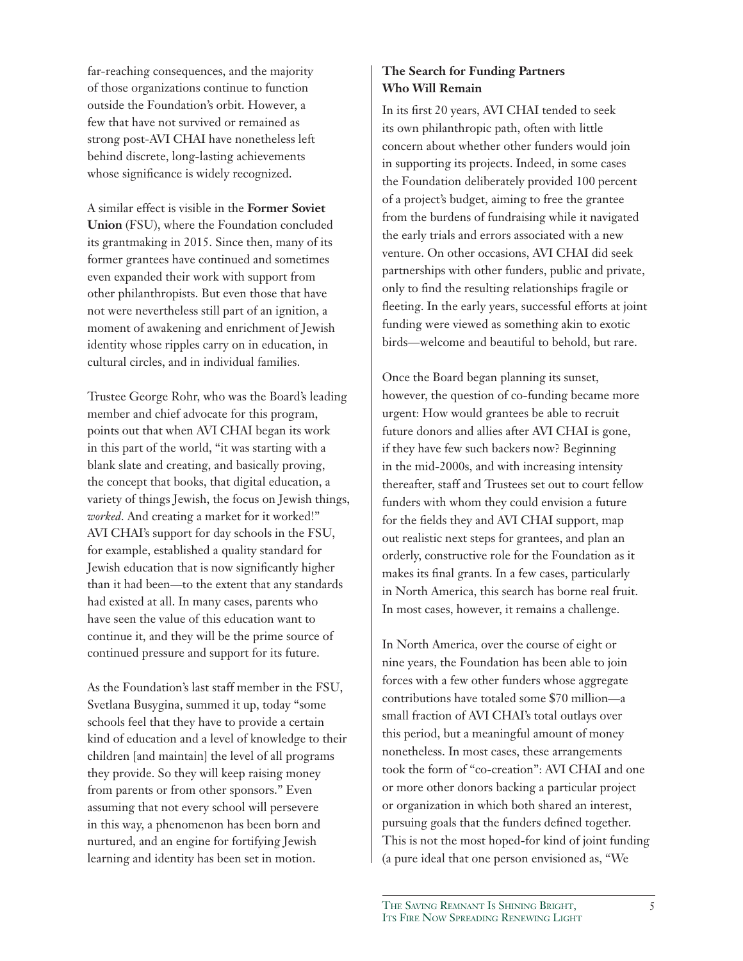far-reaching consequences, and the majority of those organizations continue to function outside the Foundation's orbit. However, a few that have not survived or remained as strong post-AVI CHAI have nonetheless left behind discrete, long-lasting achievements whose significance is widely recognized.

A similar effect is visible in the **Former Soviet Union** (FSU), where the Foundation concluded its grantmaking in 2015. Since then, many of its former grantees have continued and sometimes even expanded their work with support from other philanthropists. But even those that have not were nevertheless still part of an ignition, a moment of awakening and enrichment of Jewish identity whose ripples carry on in education, in cultural circles, and in individual families.

Trustee George Rohr, who was the Board's leading member and chief advocate for this program, points out that when AVI CHAI began its work in this part of the world, "it was starting with a blank slate and creating, and basically proving, the concept that books, that digital education, a variety of things Jewish, the focus on Jewish things, *worked*. And creating a market for it worked!" AVI CHAI's support for day schools in the FSU, for example, established a quality standard for Jewish education that is now significantly higher than it had been—to the extent that any standards had existed at all. In many cases, parents who have seen the value of this education want to continue it, and they will be the prime source of continued pressure and support for its future.

As the Foundation's last staff member in the FSU, Svetlana Busygina, summed it up, today "some schools feel that they have to provide a certain kind of education and a level of knowledge to their children [and maintain] the level of all programs they provide. So they will keep raising money from parents or from other sponsors." Even assuming that not every school will persevere in this way, a phenomenon has been born and nurtured, and an engine for fortifying Jewish learning and identity has been set in motion.

## **The Search for Funding Partners Who Will Remain**

In its first 20 years, AVI CHAI tended to seek its own philanthropic path, often with little concern about whether other funders would join in supporting its projects. Indeed, in some cases the Foundation deliberately provided 100 percent of a project's budget, aiming to free the grantee from the burdens of fundraising while it navigated the early trials and errors associated with a new venture. On other occasions, AVI CHAI did seek partnerships with other funders, public and private, only to find the resulting relationships fragile or fleeting. In the early years, successful efforts at joint funding were viewed as something akin to exotic birds—welcome and beautiful to behold, but rare.

Once the Board began planning its sunset, however, the question of co-funding became more urgent: How would grantees be able to recruit future donors and allies after AVI CHAI is gone, if they have few such backers now? Beginning in the mid-2000s, and with increasing intensity thereafter, staff and Trustees set out to court fellow funders with whom they could envision a future for the fields they and AVI CHAI support, map out realistic next steps for grantees, and plan an orderly, constructive role for the Foundation as it makes its final grants. In a few cases, particularly in North America, this search has borne real fruit. In most cases, however, it remains a challenge.

In North America, over the course of eight or nine years, the Foundation has been able to join forces with a few other funders whose aggregate contributions have totaled some \$70 million—a small fraction of AVI CHAI's total outlays over this period, but a meaningful amount of money nonetheless. In most cases, these arrangements took the form of "co-creation": AVI CHAI and one or more other donors backing a particular project or organization in which both shared an interest, pursuing goals that the funders defined together. This is not the most hoped-for kind of joint funding (a pure ideal that one person envisioned as, "We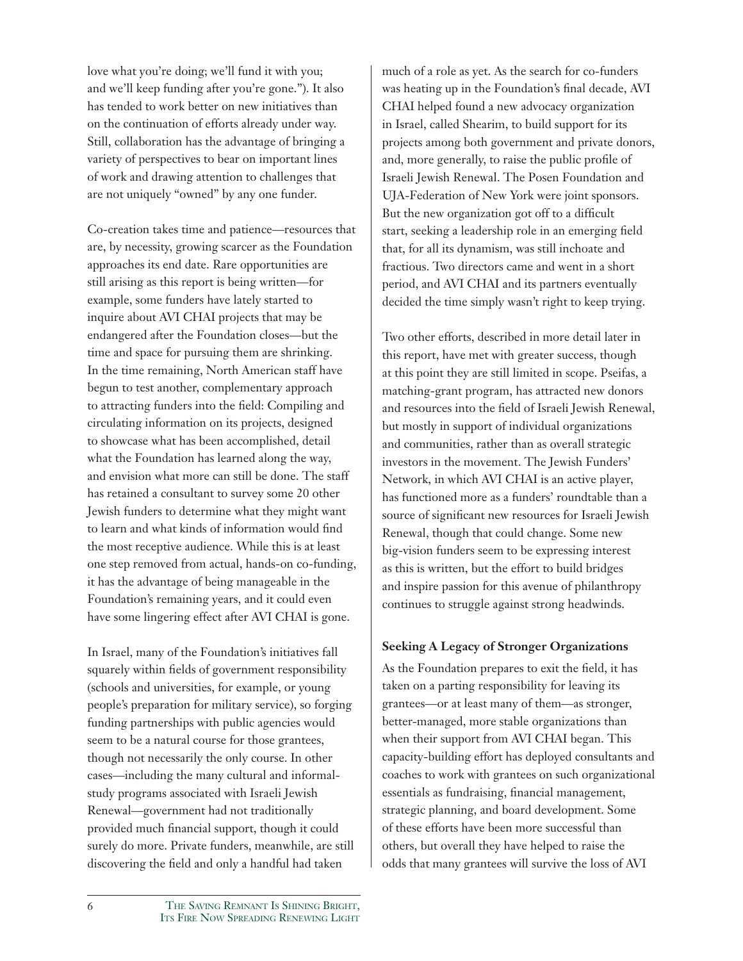love what you're doing; we'll fund it with you; and we'll keep funding after you're gone."). It also has tended to work better on new initiatives than on the continuation of efforts already under way. Still, collaboration has the advantage of bringing a variety of perspectives to bear on important lines of work and drawing attention to challenges that are not uniquely "owned" by any one funder.

Co-creation takes time and patience—resources that are, by necessity, growing scarcer as the Foundation approaches its end date. Rare opportunities are still arising as this report is being written—for example, some funders have lately started to inquire about AVI CHAI projects that may be endangered after the Foundation closes—but the time and space for pursuing them are shrinking. In the time remaining, North American staff have begun to test another, complementary approach to attracting funders into the field: Compiling and circulating information on its projects, designed to showcase what has been accomplished, detail what the Foundation has learned along the way, and envision what more can still be done. The staff has retained a consultant to survey some 20 other Jewish funders to determine what they might want to learn and what kinds of information would find the most receptive audience. While this is at least one step removed from actual, hands-on co-funding, it has the advantage of being manageable in the Foundation's remaining years, and it could even have some lingering effect after AVI CHAI is gone.

In Israel, many of the Foundation's initiatives fall squarely within fields of government responsibility (schools and universities, for example, or young people's preparation for military service), so forging funding partnerships with public agencies would seem to be a natural course for those grantees, though not necessarily the only course. In other cases—including the many cultural and informalstudy programs associated with Israeli Jewish Renewal—government had not traditionally provided much financial support, though it could surely do more. Private funders, meanwhile, are still discovering the field and only a handful had taken

much of a role as yet. As the search for co-funders was heating up in the Foundation's final decade, AVI CHAI helped found a new advocacy organization in Israel, called Shearim, to build support for its projects among both government and private donors, and, more generally, to raise the public profile of Israeli Jewish Renewal. The Posen Foundation and UJA-Federation of New York were joint sponsors. But the new organization got off to a difficult start, seeking a leadership role in an emerging field that, for all its dynamism, was still inchoate and fractious. Two directors came and went in a short period, and AVI CHAI and its partners eventually decided the time simply wasn't right to keep trying.

Two other efforts, described in more detail later in this report, have met with greater success, though at this point they are still limited in scope. Pseifas, a matching-grant program, has attracted new donors and resources into the field of Israeli Jewish Renewal, but mostly in support of individual organizations and communities, rather than as overall strategic investors in the movement. The Jewish Funders' Network, in which AVI CHAI is an active player, has functioned more as a funders' roundtable than a source of significant new resources for Israeli Jewish Renewal, though that could change. Some new big-vision funders seem to be expressing interest as this is written, but the effort to build bridges and inspire passion for this avenue of philanthropy continues to struggle against strong headwinds.

### **Seeking A Legacy of Stronger Organizations**

As the Foundation prepares to exit the field, it has taken on a parting responsibility for leaving its grantees—or at least many of them—as stronger, better-managed, more stable organizations than when their support from AVI CHAI began. This capacity-building effort has deployed consultants and coaches to work with grantees on such organizational essentials as fundraising, financial management, strategic planning, and board development. Some of these efforts have been more successful than others, but overall they have helped to raise the odds that many grantees will survive the loss of AVI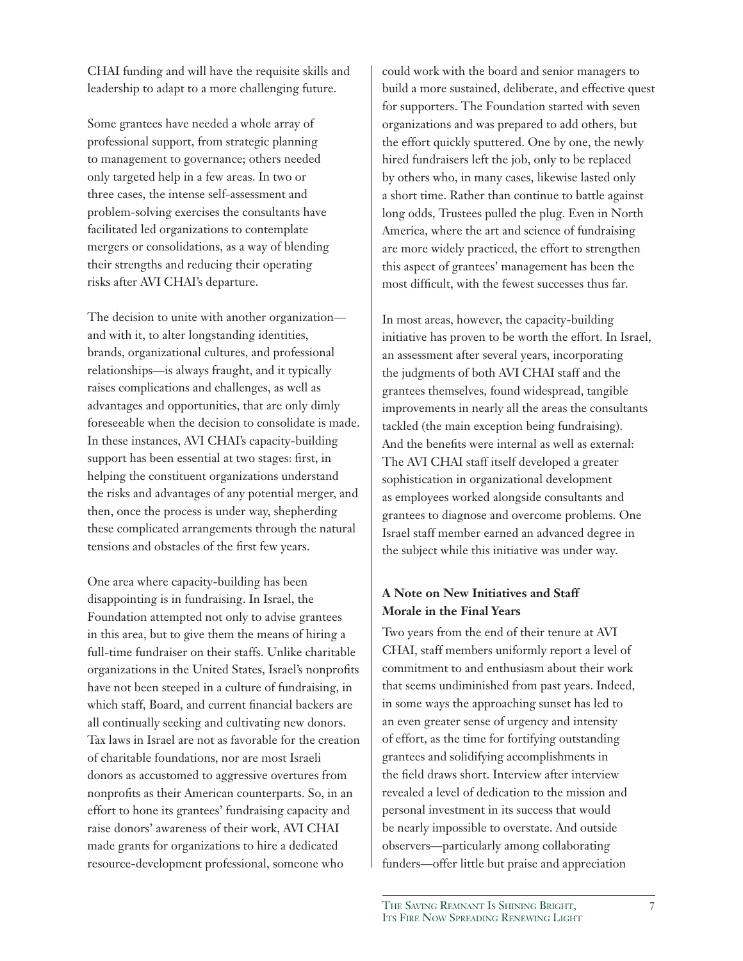CHAI funding and will have the requisite skills and leadership to adapt to a more challenging future.

Some grantees have needed a whole array of professional support, from strategic planning to management to governance; others needed only targeted help in a few areas. In two or three cases, the intense self-assessment and problem-solving exercises the consultants have facilitated led organizations to contemplate mergers or consolidations, as a way of blending their strengths and reducing their operating risks after AVI CHAI's departure.

The decision to unite with another organization and with it, to alter longstanding identities, brands, organizational cultures, and professional relationships—is always fraught, and it typically raises complications and challenges, as well as advantages and opportunities, that are only dimly foreseeable when the decision to consolidate is made. In these instances, AVI CHAI's capacity-building support has been essential at two stages: first, in helping the constituent organizations understand the risks and advantages of any potential merger, and then, once the process is under way, shepherding these complicated arrangements through the natural tensions and obstacles of the first few years.

One area where capacity-building has been disappointing is in fundraising. In Israel, the Foundation attempted not only to advise grantees in this area, but to give them the means of hiring a full-time fundraiser on their staffs. Unlike charitable organizations in the United States, Israel's nonprofits have not been steeped in a culture of fundraising, in which staff, Board, and current financial backers are all continually seeking and cultivating new donors. Tax laws in Israel are not as favorable for the creation of charitable foundations, nor are most Israeli donors as accustomed to aggressive overtures from nonprofits as their American counterparts. So, in an effort to hone its grantees' fundraising capacity and raise donors' awareness of their work, AVI CHAI made grants for organizations to hire a dedicated resource-development professional, someone who

could work with the board and senior managers to build a more sustained, deliberate, and effective quest for supporters. The Foundation started with seven organizations and was prepared to add others, but the effort quickly sputtered. One by one, the newly hired fundraisers left the job, only to be replaced by others who, in many cases, likewise lasted only a short time. Rather than continue to battle against long odds, Trustees pulled the plug. Even in North America, where the art and science of fundraising are more widely practiced, the effort to strengthen this aspect of grantees' management has been the most difficult, with the fewest successes thus far.

In most areas, however, the capacity-building initiative has proven to be worth the effort. In Israel, an assessment after several years, incorporating the judgments of both AVI CHAI staff and the grantees themselves, found widespread, tangible improvements in nearly all the areas the consultants tackled (the main exception being fundraising). And the benefits were internal as well as external: The AVI CHAI staff itself developed a greater sophistication in organizational development as employees worked alongside consultants and grantees to diagnose and overcome problems. One Israel staff member earned an advanced degree in the subject while this initiative was under way.

## **A Note on New Initiatives and Staff Morale in the Final Years**

Two years from the end of their tenure at AVI CHAI, staff members uniformly report a level of commitment to and enthusiasm about their work that seems undiminished from past years. Indeed, in some ways the approaching sunset has led to an even greater sense of urgency and intensity of effort, as the time for fortifying outstanding grantees and solidifying accomplishments in the field draws short. Interview after interview revealed a level of dedication to the mission and personal investment in its success that would be nearly impossible to overstate. And outside observers—particularly among collaborating funders—offer little but praise and appreciation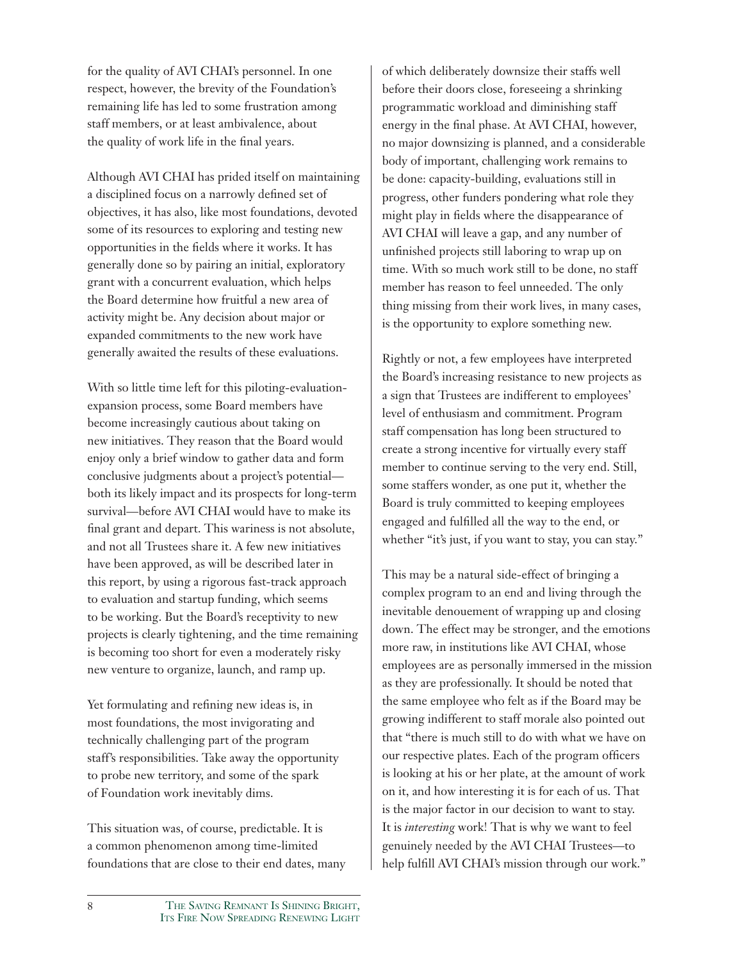for the quality of AVI CHAI's personnel. In one respect, however, the brevity of the Foundation's remaining life has led to some frustration among staff members, or at least ambivalence, about the quality of work life in the final years.

Although AVI CHAI has prided itself on maintaining a disciplined focus on a narrowly defined set of objectives, it has also, like most foundations, devoted some of its resources to exploring and testing new opportunities in the fields where it works. It has generally done so by pairing an initial, exploratory grant with a concurrent evaluation, which helps the Board determine how fruitful a new area of activity might be. Any decision about major or expanded commitments to the new work have generally awaited the results of these evaluations.

With so little time left for this piloting-evaluationexpansion process, some Board members have become increasingly cautious about taking on new initiatives. They reason that the Board would enjoy only a brief window to gather data and form conclusive judgments about a project's potential both its likely impact and its prospects for long-term survival—before AVI CHAI would have to make its final grant and depart. This wariness is not absolute, and not all Trustees share it. A few new initiatives have been approved, as will be described later in this report, by using a rigorous fast-track approach to evaluation and startup funding, which seems to be working. But the Board's receptivity to new projects is clearly tightening, and the time remaining is becoming too short for even a moderately risky new venture to organize, launch, and ramp up.

Yet formulating and refining new ideas is, in most foundations, the most invigorating and technically challenging part of the program staff's responsibilities. Take away the opportunity to probe new territory, and some of the spark of Foundation work inevitably dims.

This situation was, of course, predictable. It is a common phenomenon among time-limited foundations that are close to their end dates, many of which deliberately downsize their staffs well before their doors close, foreseeing a shrinking programmatic workload and diminishing staff energy in the final phase. At AVI CHAI, however, no major downsizing is planned, and a considerable body of important, challenging work remains to be done: capacity-building, evaluations still in progress, other funders pondering what role they might play in fields where the disappearance of AVI CHAI will leave a gap, and any number of unfinished projects still laboring to wrap up on time. With so much work still to be done, no staff member has reason to feel unneeded. The only thing missing from their work lives, in many cases, is the opportunity to explore something new.

Rightly or not, a few employees have interpreted the Board's increasing resistance to new projects as a sign that Trustees are indifferent to employees' level of enthusiasm and commitment. Program staff compensation has long been structured to create a strong incentive for virtually every staff member to continue serving to the very end. Still, some staffers wonder, as one put it, whether the Board is truly committed to keeping employees engaged and fulfilled all the way to the end, or whether "it's just, if you want to stay, you can stay."

This may be a natural side-effect of bringing a complex program to an end and living through the inevitable denouement of wrapping up and closing down. The effect may be stronger, and the emotions more raw, in institutions like AVI CHAI, whose employees are as personally immersed in the mission as they are professionally. It should be noted that the same employee who felt as if the Board may be growing indifferent to staff morale also pointed out that "there is much still to do with what we have on our respective plates. Each of the program officers is looking at his or her plate, at the amount of work on it, and how interesting it is for each of us. That is the major factor in our decision to want to stay. It is *interesting* work! That is why we want to feel genuinely needed by the AVI CHAI Trustees—to help fulfill AVI CHAI's mission through our work."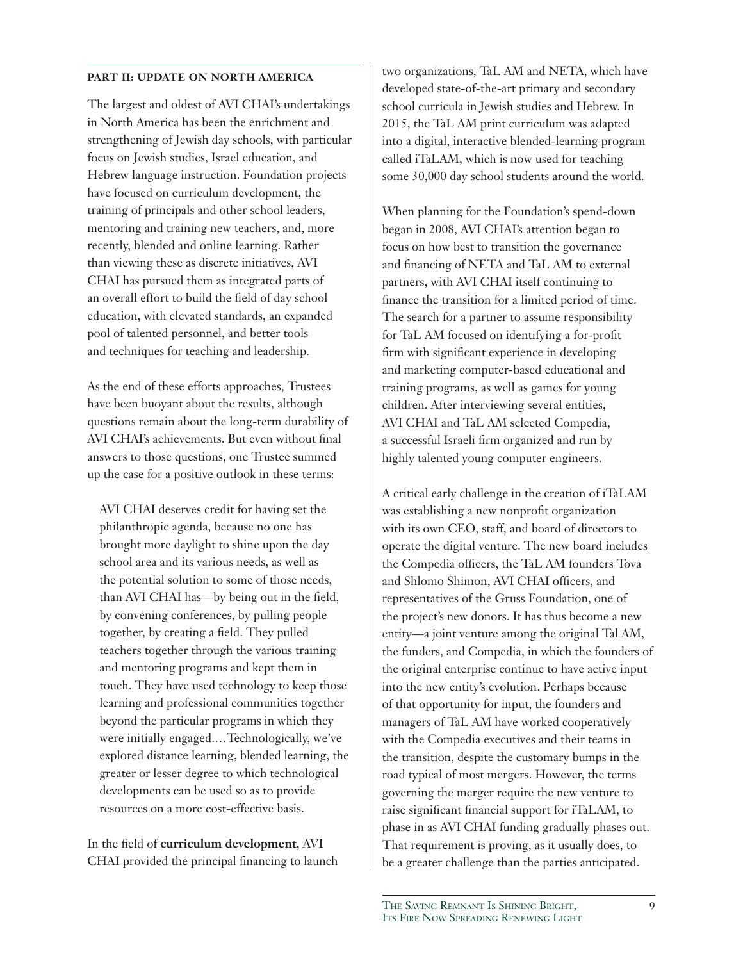#### **PART II: UPDATE ON NORTH AMERICA**

The largest and oldest of AVI CHAI's undertakings in North America has been the enrichment and strengthening of Jewish day schools, with particular focus on Jewish studies, Israel education, and Hebrew language instruction. Foundation projects have focused on curriculum development, the training of principals and other school leaders, mentoring and training new teachers, and, more recently, blended and online learning. Rather than viewing these as discrete initiatives, AVI CHAI has pursued them as integrated parts of an overall effort to build the field of day school education, with elevated standards, an expanded pool of talented personnel, and better tools and techniques for teaching and leadership.

As the end of these efforts approaches, Trustees have been buoyant about the results, although questions remain about the long-term durability of AVI CHAI's achievements. But even without final answers to those questions, one Trustee summed up the case for a positive outlook in these terms:

AVI CHAI deserves credit for having set the philanthropic agenda, because no one has brought more daylight to shine upon the day school area and its various needs, as well as the potential solution to some of those needs, than AVI CHAI has—by being out in the field, by convening conferences, by pulling people together, by creating a field. They pulled teachers together through the various training and mentoring programs and kept them in touch. They have used technology to keep those learning and professional communities together beyond the particular programs in which they were initially engaged.…Technologically, we've explored distance learning, blended learning, the greater or lesser degree to which technological developments can be used so as to provide resources on a more cost-effective basis.

In the field of **curriculum development**, AVI CHAI provided the principal financing to launch two organizations, TaL AM and NETA, which have developed state-of-the-art primary and secondary school curricula in Jewish studies and Hebrew. In 2015, the TaL AM print curriculum was adapted into a digital, interactive blended-learning program called iTaLAM, which is now used for teaching some 30,000 day school students around the world.

When planning for the Foundation's spend-down began in 2008, AVI CHAI's attention began to focus on how best to transition the governance and financing of NETA and TaL AM to external partners, with AVI CHAI itself continuing to finance the transition for a limited period of time. The search for a partner to assume responsibility for TaL AM focused on identifying a for-profit firm with significant experience in developing and marketing computer-based educational and training programs, as well as games for young children. After interviewing several entities, AVI CHAI and TaL AM selected Compedia, a successful Israeli firm organized and run by highly talented young computer engineers.

A critical early challenge in the creation of iTaLAM was establishing a new nonprofit organization with its own CEO, staff, and board of directors to operate the digital venture. The new board includes the Compedia officers, the TaL AM founders Tova and Shlomo Shimon, AVI CHAI officers, and representatives of the Gruss Foundation, one of the project's new donors. It has thus become a new entity—a joint venture among the original Tal AM, the funders, and Compedia, in which the founders of the original enterprise continue to have active input into the new entity's evolution. Perhaps because of that opportunity for input, the founders and managers of TaL AM have worked cooperatively with the Compedia executives and their teams in the transition, despite the customary bumps in the road typical of most mergers. However, the terms governing the merger require the new venture to raise significant financial support for iTaLAM, to phase in as AVI CHAI funding gradually phases out. That requirement is proving, as it usually does, to be a greater challenge than the parties anticipated.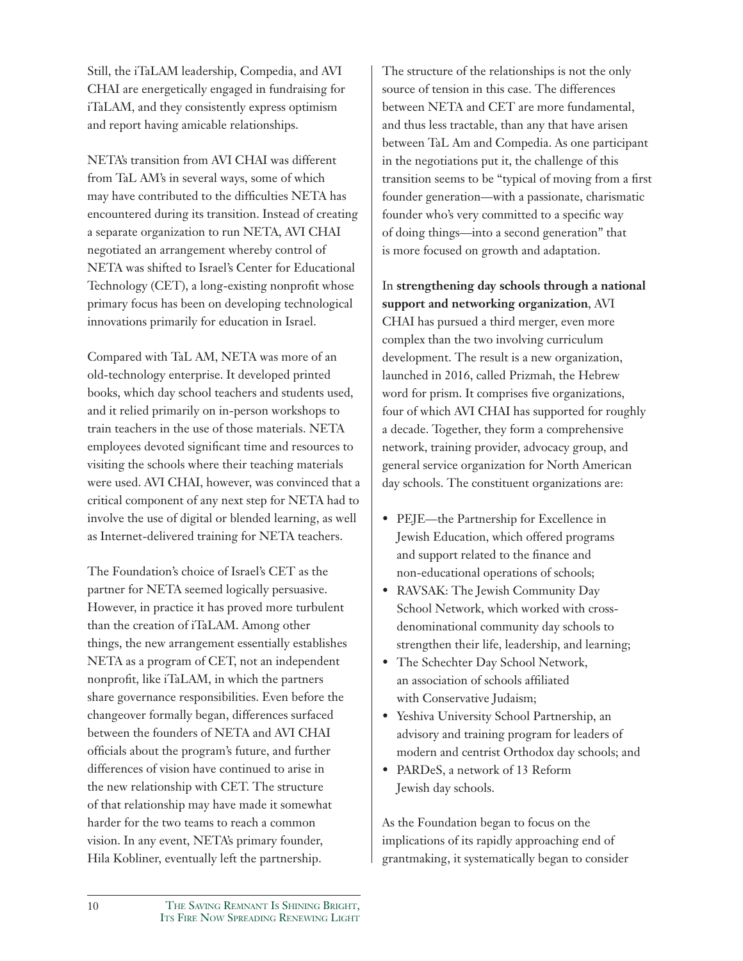Still, the iTaLAM leadership, Compedia, and AVI CHAI are energetically engaged in fundraising for iTaLAM, and they consistently express optimism and report having amicable relationships.

NETA's transition from AVI CHAI was different from TaL AM's in several ways, some of which may have contributed to the difficulties NETA has encountered during its transition. Instead of creating a separate organization to run NETA, AVI CHAI negotiated an arrangement whereby control of NETA was shifted to Israel's Center for Educational Technology (CET), a long-existing nonprofit whose primary focus has been on developing technological innovations primarily for education in Israel.

Compared with TaL AM, NETA was more of an old-technology enterprise. It developed printed books, which day school teachers and students used, and it relied primarily on in-person workshops to train teachers in the use of those materials. NETA employees devoted significant time and resources to visiting the schools where their teaching materials were used. AVI CHAI, however, was convinced that a critical component of any next step for NETA had to involve the use of digital or blended learning, as well as Internet-delivered training for NETA teachers.

The Foundation's choice of Israel's CET as the partner for NETA seemed logically persuasive. However, in practice it has proved more turbulent than the creation of iTaLAM. Among other things, the new arrangement essentially establishes NETA as a program of CET, not an independent nonprofit, like iTaLAM, in which the partners share governance responsibilities. Even before the changeover formally began, differences surfaced between the founders of NETA and AVI CHAI officials about the program's future, and further differences of vision have continued to arise in the new relationship with CET. The structure of that relationship may have made it somewhat harder for the two teams to reach a common vision. In any event, NETA's primary founder, Hila Kobliner, eventually left the partnership.

The structure of the relationships is not the only source of tension in this case. The differences between NETA and CET are more fundamental, and thus less tractable, than any that have arisen between TaL Am and Compedia. As one participant in the negotiations put it, the challenge of this transition seems to be "typical of moving from a first founder generation—with a passionate, charismatic founder who's very committed to a specific way of doing things—into a second generation" that is more focused on growth and adaptation.

In **strengthening day schools through a national support and networking organization**, AVI CHAI has pursued a third merger, even more complex than the two involving curriculum development. The result is a new organization, launched in 2016, called Prizmah, the Hebrew word for prism. It comprises five organizations, four of which AVI CHAI has supported for roughly a decade. Together, they form a comprehensive network, training provider, advocacy group, and general service organization for North American day schools. The constituent organizations are:

- PEJE—the Partnership for Excellence in Jewish Education, which offered programs and support related to the finance and non-educational operations of schools;
- RAVSAK: The Jewish Community Day School Network, which worked with crossdenominational community day schools to strengthen their life, leadership, and learning;
- The Schechter Day School Network, an association of schools affiliated with Conservative Judaism;
- Yeshiva University School Partnership, an advisory and training program for leaders of modern and centrist Orthodox day schools; and
- PARDeS, a network of 13 Reform Jewish day schools.

As the Foundation began to focus on the implications of its rapidly approaching end of grantmaking, it systematically began to consider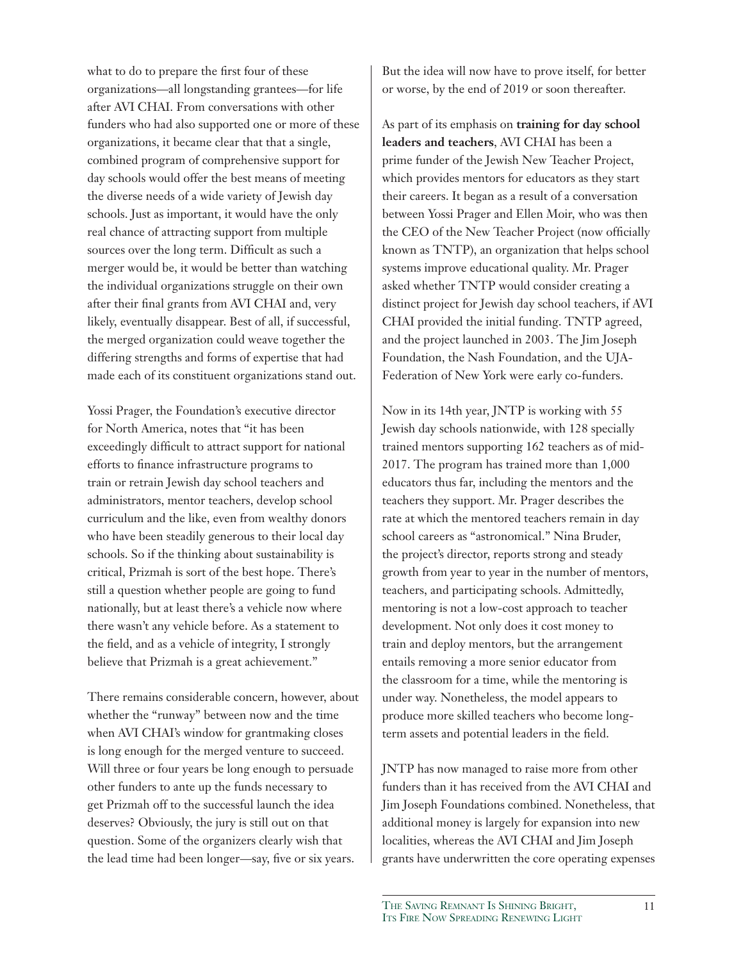what to do to prepare the first four of these organizations—all longstanding grantees—for life after AVI CHAI. From conversations with other funders who had also supported one or more of these organizations, it became clear that that a single, combined program of comprehensive support for day schools would offer the best means of meeting the diverse needs of a wide variety of Jewish day schools. Just as important, it would have the only real chance of attracting support from multiple sources over the long term. Difficult as such a merger would be, it would be better than watching the individual organizations struggle on their own after their final grants from AVI CHAI and, very likely, eventually disappear. Best of all, if successful, the merged organization could weave together the differing strengths and forms of expertise that had made each of its constituent organizations stand out.

Yossi Prager, the Foundation's executive director for North America, notes that "it has been exceedingly difficult to attract support for national efforts to finance infrastructure programs to train or retrain Jewish day school teachers and administrators, mentor teachers, develop school curriculum and the like, even from wealthy donors who have been steadily generous to their local day schools. So if the thinking about sustainability is critical, Prizmah is sort of the best hope. There's still a question whether people are going to fund nationally, but at least there's a vehicle now where there wasn't any vehicle before. As a statement to the field, and as a vehicle of integrity, I strongly believe that Prizmah is a great achievement."

There remains considerable concern, however, about whether the "runway" between now and the time when AVI CHAI's window for grantmaking closes is long enough for the merged venture to succeed. Will three or four years be long enough to persuade other funders to ante up the funds necessary to get Prizmah off to the successful launch the idea deserves? Obviously, the jury is still out on that question. Some of the organizers clearly wish that the lead time had been longer—say, five or six years.

But the idea will now have to prove itself, for better or worse, by the end of 2019 or soon thereafter.

As part of its emphasis on **training for day school leaders and teachers**, AVI CHAI has been a prime funder of the Jewish New Teacher Project, which provides mentors for educators as they start their careers. It began as a result of a conversation between Yossi Prager and Ellen Moir, who was then the CEO of the New Teacher Project (now officially known as TNTP), an organization that helps school systems improve educational quality. Mr. Prager asked whether TNTP would consider creating a distinct project for Jewish day school teachers, if AVI CHAI provided the initial funding. TNTP agreed, and the project launched in 2003. The Jim Joseph Foundation, the Nash Foundation, and the UJA-Federation of New York were early co-funders.

Now in its 14th year, JNTP is working with 55 Jewish day schools nationwide, with 128 specially trained mentors supporting 162 teachers as of mid-2017. The program has trained more than 1,000 educators thus far, including the mentors and the teachers they support. Mr. Prager describes the rate at which the mentored teachers remain in day school careers as "astronomical." Nina Bruder, the project's director, reports strong and steady growth from year to year in the number of mentors, teachers, and participating schools. Admittedly, mentoring is not a low-cost approach to teacher development. Not only does it cost money to train and deploy mentors, but the arrangement entails removing a more senior educator from the classroom for a time, while the mentoring is under way. Nonetheless, the model appears to produce more skilled teachers who become longterm assets and potential leaders in the field.

JNTP has now managed to raise more from other funders than it has received from the AVI CHAI and Jim Joseph Foundations combined. Nonetheless, that additional money is largely for expansion into new localities, whereas the AVI CHAI and Jim Joseph grants have underwritten the core operating expenses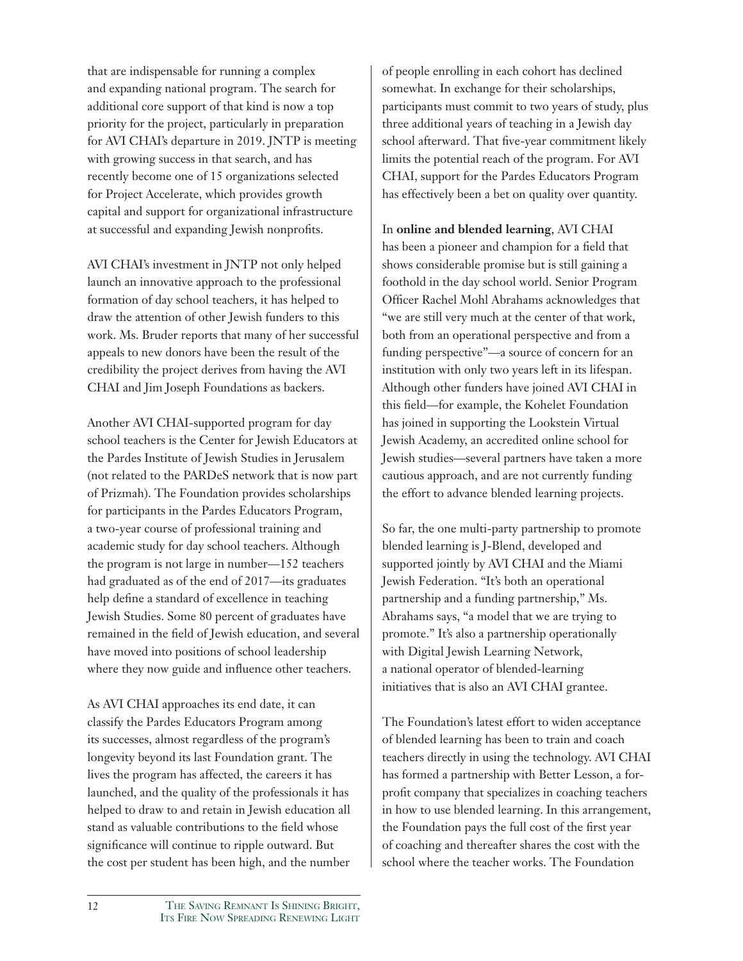that are indispensable for running a complex and expanding national program. The search for additional core support of that kind is now a top priority for the project, particularly in preparation for AVI CHAI's departure in 2019. JNTP is meeting with growing success in that search, and has recently become one of 15 organizations selected for Project Accelerate, which provides growth capital and support for organizational infrastructure at successful and expanding Jewish nonprofits.

AVI CHAI's investment in JNTP not only helped launch an innovative approach to the professional formation of day school teachers, it has helped to draw the attention of other Jewish funders to this work. Ms. Bruder reports that many of her successful appeals to new donors have been the result of the credibility the project derives from having the AVI CHAI and Jim Joseph Foundations as backers.

Another AVI CHAI-supported program for day school teachers is the Center for Jewish Educators at the Pardes Institute of Jewish Studies in Jerusalem (not related to the PARDeS network that is now part of Prizmah). The Foundation provides scholarships for participants in the Pardes Educators Program, a two-year course of professional training and academic study for day school teachers. Although the program is not large in number—152 teachers had graduated as of the end of 2017—its graduates help define a standard of excellence in teaching Jewish Studies. Some 80 percent of graduates have remained in the field of Jewish education, and several have moved into positions of school leadership where they now guide and influence other teachers.

As AVI CHAI approaches its end date, it can classify the Pardes Educators Program among its successes, almost regardless of the program's longevity beyond its last Foundation grant. The lives the program has affected, the careers it has launched, and the quality of the professionals it has helped to draw to and retain in Jewish education all stand as valuable contributions to the field whose significance will continue to ripple outward. But the cost per student has been high, and the number of people enrolling in each cohort has declined somewhat. In exchange for their scholarships, participants must commit to two years of study, plus three additional years of teaching in a Jewish day school afterward. That five-year commitment likely limits the potential reach of the program. For AVI CHAI, support for the Pardes Educators Program has effectively been a bet on quality over quantity.

In **online and blended learning**, AVI CHAI has been a pioneer and champion for a field that shows considerable promise but is still gaining a foothold in the day school world. Senior Program Officer Rachel Mohl Abrahams acknowledges that "we are still very much at the center of that work, both from an operational perspective and from a funding perspective"—a source of concern for an institution with only two years left in its lifespan. Although other funders have joined AVI CHAI in this field—for example, the Kohelet Foundation has joined in supporting the Lookstein Virtual Jewish Academy, an accredited online school for Jewish studies—several partners have taken a more cautious approach, and are not currently funding the effort to advance blended learning projects.

So far, the one multi-party partnership to promote blended learning is J-Blend, developed and supported jointly by AVI CHAI and the Miami Jewish Federation. "It's both an operational partnership and a funding partnership," Ms. Abrahams says, "a model that we are trying to promote." It's also a partnership operationally with Digital Jewish Learning Network, a national operator of blended-learning initiatives that is also an AVI CHAI grantee.

The Foundation's latest effort to widen acceptance of blended learning has been to train and coach teachers directly in using the technology. AVI CHAI has formed a partnership with Better Lesson, a forprofit company that specializes in coaching teachers in how to use blended learning. In this arrangement, the Foundation pays the full cost of the first year of coaching and thereafter shares the cost with the school where the teacher works. The Foundation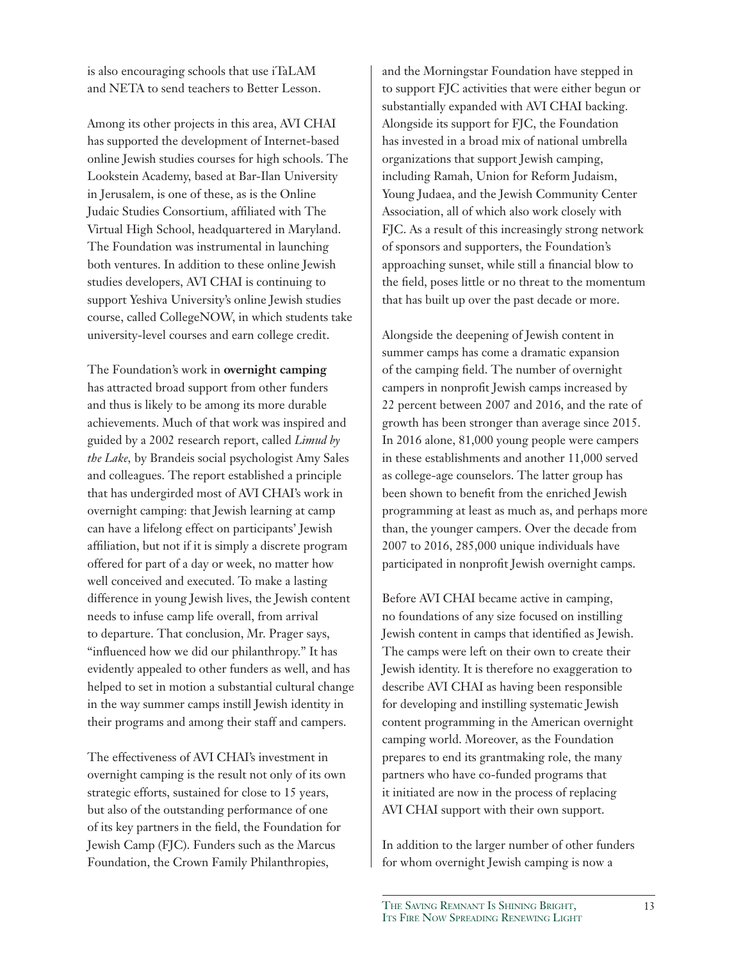is also encouraging schools that use iTaLAM and NETA to send teachers to Better Lesson.

Among its other projects in this area, AVI CHAI has supported the development of Internet-based online Jewish studies courses for high schools. The Lookstein Academy, based at Bar-Ilan University in Jerusalem, is one of these, as is the Online Judaic Studies Consortium, affiliated with The Virtual High School, headquartered in Maryland. The Foundation was instrumental in launching both ventures. In addition to these online Jewish studies developers, AVI CHAI is continuing to support Yeshiva University's online Jewish studies course, called CollegeNOW, in which students take university-level courses and earn college credit.

The Foundation's work in **overnight camping** has attracted broad support from other funders and thus is likely to be among its more durable achievements. Much of that work was inspired and guided by a 2002 research report, called *Limud by the Lake,* by Brandeis social psychologist Amy Sales and colleagues. The report established a principle that has undergirded most of AVI CHAI's work in overnight camping: that Jewish learning at camp can have a lifelong effect on participants' Jewish affiliation, but not if it is simply a discrete program offered for part of a day or week, no matter how well conceived and executed. To make a lasting difference in young Jewish lives, the Jewish content needs to infuse camp life overall, from arrival to departure. That conclusion, Mr. Prager says, "influenced how we did our philanthropy." It has evidently appealed to other funders as well, and has helped to set in motion a substantial cultural change in the way summer camps instill Jewish identity in their programs and among their staff and campers.

The effectiveness of AVI CHAI's investment in overnight camping is the result not only of its own strategic efforts, sustained for close to 15 years, but also of the outstanding performance of one of its key partners in the field, the Foundation for Jewish Camp (FJC). Funders such as the Marcus Foundation, the Crown Family Philanthropies,

and the Morningstar Foundation have stepped in to support FJC activities that were either begun or substantially expanded with AVI CHAI backing. Alongside its support for FJC, the Foundation has invested in a broad mix of national umbrella organizations that support Jewish camping, including Ramah, Union for Reform Judaism, Young Judaea, and the Jewish Community Center Association, all of which also work closely with FJC. As a result of this increasingly strong network of sponsors and supporters, the Foundation's approaching sunset, while still a financial blow to the field, poses little or no threat to the momentum that has built up over the past decade or more.

Alongside the deepening of Jewish content in summer camps has come a dramatic expansion of the camping field. The number of overnight campers in nonprofit Jewish camps increased by 22 percent between 2007 and 2016, and the rate of growth has been stronger than average since 2015. In 2016 alone, 81,000 young people were campers in these establishments and another 11,000 served as college-age counselors. The latter group has been shown to benefit from the enriched Jewish programming at least as much as, and perhaps more than, the younger campers. Over the decade from 2007 to 2016, 285,000 unique individuals have participated in nonprofit Jewish overnight camps.

Before AVI CHAI became active in camping, no foundations of any size focused on instilling Jewish content in camps that identified as Jewish. The camps were left on their own to create their Jewish identity. It is therefore no exaggeration to describe AVI CHAI as having been responsible for developing and instilling systematic Jewish content programming in the American overnight camping world. Moreover, as the Foundation prepares to end its grantmaking role, the many partners who have co-funded programs that it initiated are now in the process of replacing AVI CHAI support with their own support.

In addition to the larger number of other funders for whom overnight Jewish camping is now a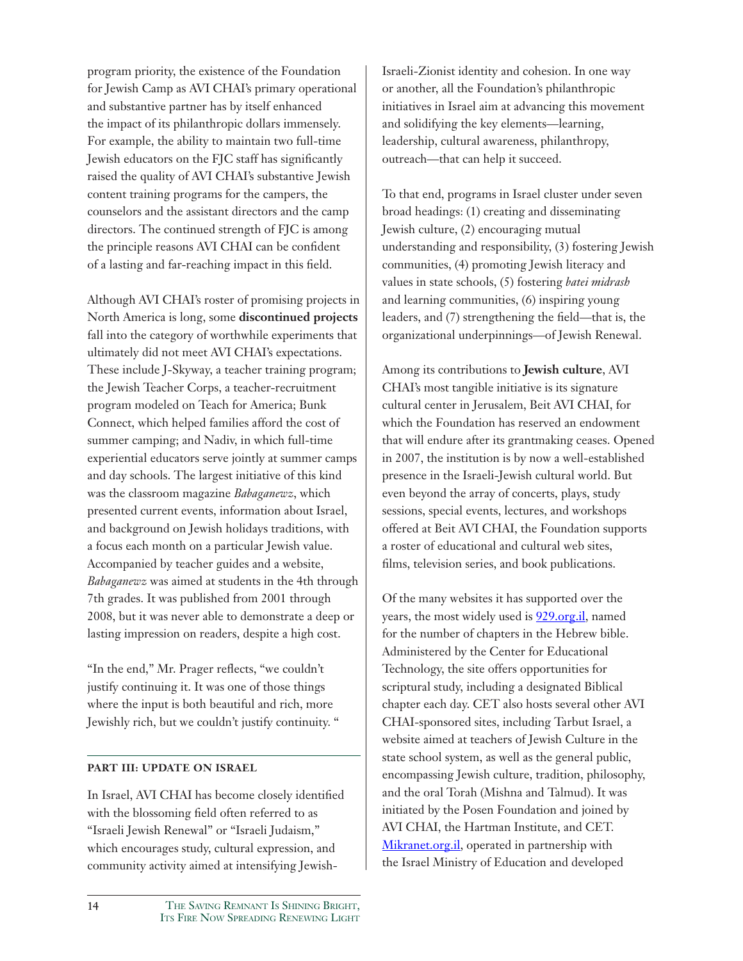program priority, the existence of the Foundation for Jewish Camp as AVI CHAI's primary operational and substantive partner has by itself enhanced the impact of its philanthropic dollars immensely. For example, the ability to maintain two full-time Jewish educators on the FJC staff has significantly raised the quality of AVI CHAI's substantive Jewish content training programs for the campers, the counselors and the assistant directors and the camp directors. The continued strength of FJC is among the principle reasons AVI CHAI can be confident of a lasting and far-reaching impact in this field.

Although AVI CHAI's roster of promising projects in North America is long, some **discontinued projects** fall into the category of worthwhile experiments that ultimately did not meet AVI CHAI's expectations. These include J-Skyway, a teacher training program; the Jewish Teacher Corps, a teacher-recruitment program modeled on Teach for America; Bunk Connect, which helped families afford the cost of summer camping; and Nadiv, in which full-time experiential educators serve jointly at summer camps and day schools. The largest initiative of this kind was the classroom magazine *Babaganewz*, which presented current events, information about Israel, and background on Jewish holidays traditions, with a focus each month on a particular Jewish value. Accompanied by teacher guides and a website, *Babaganewz* was aimed at students in the 4th through 7th grades. It was published from 2001 through 2008, but it was never able to demonstrate a deep or lasting impression on readers, despite a high cost.

"In the end," Mr. Prager reflects, "we couldn't justify continuing it. It was one of those things where the input is both beautiful and rich, more Jewishly rich, but we couldn't justify continuity. "

#### **PART III: UPDATE ON ISRAEL**

In Israel, AVI CHAI has become closely identified with the blossoming field often referred to as "Israeli Jewish Renewal" or "Israeli Judaism," which encourages study, cultural expression, and community activity aimed at intensifying JewishIsraeli-Zionist identity and cohesion. In one way or another, all the Foundation's philanthropic initiatives in Israel aim at advancing this movement and solidifying the key elements—learning, leadership, cultural awareness, philanthropy, outreach—that can help it succeed.

To that end, programs in Israel cluster under seven broad headings: (1) creating and disseminating Jewish culture, (2) encouraging mutual understanding and responsibility, (3) fostering Jewish communities, (4) promoting Jewish literacy and values in state schools, (5) fostering *batei midrash* and learning communities, (6) inspiring young leaders, and (7) strengthening the field—that is, the organizational underpinnings—of Jewish Renewal.

Among its contributions to **Jewish culture**, AVI CHAI's most tangible initiative is its signature cultural center in Jerusalem, Beit AVI CHAI, for which the Foundation has reserved an endowment that will endure after its grantmaking ceases. Opened in 2007, the institution is by now a well-established presence in the Israeli-Jewish cultural world. But even beyond the array of concerts, plays, study sessions, special events, lectures, and workshops offered at Beit AVI CHAI, the Foundation supports a roster of educational and cultural web sites, films, television series, and book publications.

Of the many websites it has supported over the years, the most widely used is 929.org.il, named for the number of chapters in the Hebrew bible. Administered by the Center for Educational Technology, the site offers opportunities for scriptural study, including a designated Biblical chapter each day. CET also hosts several other AVI CHAI-sponsored sites, including Tarbut Israel, a website aimed at teachers of Jewish Culture in the state school system, as well as the general public, encompassing Jewish culture, tradition, philosophy, and the oral Torah (Mishna and Talmud). It was initiated by the Posen Foundation and joined by AVI CHAI, the Hartman Institute, and CET. Mikranet.org.il, operated in partnership with the Israel Ministry of Education and developed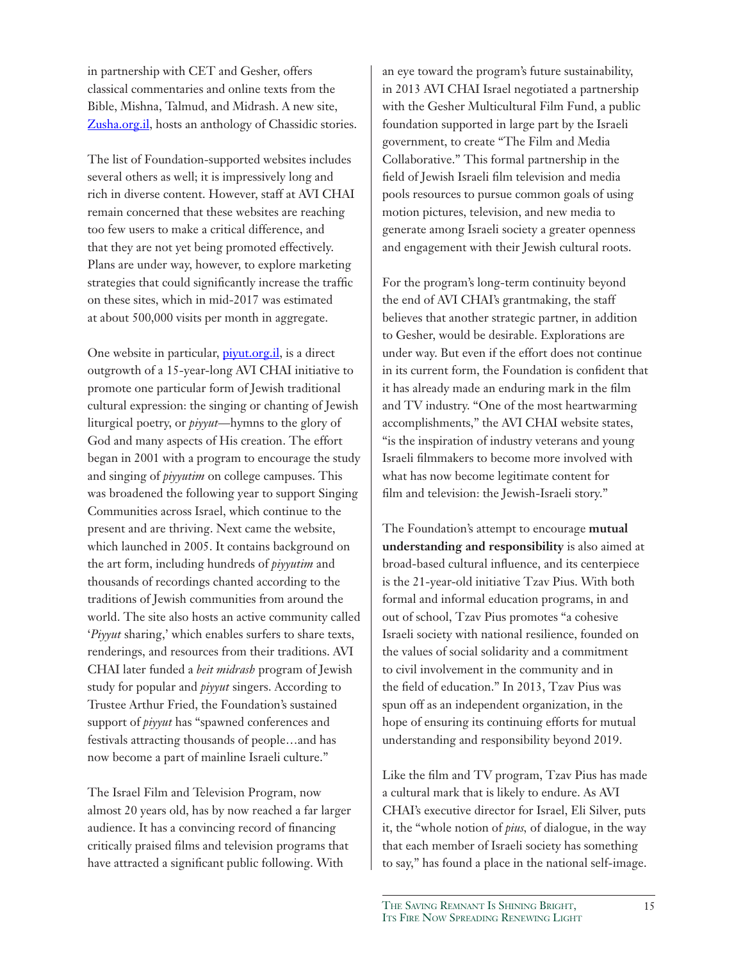in partnership with CET and Gesher, offers classical commentaries and online texts from the Bible, Mishna, Talmud, and Midrash. A new site, Zusha.org.il, hosts an anthology of Chassidic stories.

The list of Foundation-supported websites includes several others as well; it is impressively long and rich in diverse content. However, staff at AVI CHAI remain concerned that these websites are reaching too few users to make a critical difference, and that they are not yet being promoted effectively. Plans are under way, however, to explore marketing strategies that could significantly increase the traffic on these sites, which in mid-2017 was estimated at about 500,000 visits per month in aggregate.

One website in particular, *piyut.org.il*, is a direct outgrowth of a 15-year-long AVI CHAI initiative to promote one particular form of Jewish traditional cultural expression: the singing or chanting of Jewish liturgical poetry, or *piyyut*—hymns to the glory of God and many aspects of His creation. The effort began in 2001 with a program to encourage the study and singing of *piyyutim* on college campuses. This was broadened the following year to support Singing Communities across Israel, which continue to the present and are thriving. Next came the website, which launched in 2005. It contains background on the art form, including hundreds of *piyyutim* and thousands of recordings chanted according to the traditions of Jewish communities from around the world. The site also hosts an active community called '*Piyyut* sharing,' which enables surfers to share texts, renderings, and resources from their traditions. AVI CHAI later funded a *beit midrash* program of Jewish study for popular and *piyyut* singers. According to Trustee Arthur Fried, the Foundation's sustained support of *piyyut* has "spawned conferences and festivals attracting thousands of people…and has now become a part of mainline Israeli culture."

The Israel Film and Television Program, now almost 20 years old, has by now reached a far larger audience. It has a convincing record of financing critically praised films and television programs that have attracted a significant public following. With

an eye toward the program's future sustainability, in 2013 AVI CHAI Israel negotiated a partnership with the Gesher Multicultural Film Fund, a public foundation supported in large part by the Israeli government, to create "The Film and Media Collaborative." This formal partnership in the field of Jewish Israeli film television and media pools resources to pursue common goals of using motion pictures, television, and new media to generate among Israeli society a greater openness and engagement with their Jewish cultural roots.

For the program's long-term continuity beyond the end of AVI CHAI's grantmaking, the staff believes that another strategic partner, in addition to Gesher, would be desirable. Explorations are under way. But even if the effort does not continue in its current form, the Foundation is confident that it has already made an enduring mark in the film and TV industry. "One of the most heartwarming accomplishments," the AVI CHAI website states, "is the inspiration of industry veterans and young Israeli filmmakers to become more involved with what has now become legitimate content for film and television: the Jewish-Israeli story."

The Foundation's attempt to encourage **mutual understanding and responsibility** is also aimed at broad-based cultural influence, and its centerpiece is the 21-year-old initiative Tzav Pius. With both formal and informal education programs, in and out of school, Tzav Pius promotes "a cohesive Israeli society with national resilience, founded on the values of social solidarity and a commitment to civil involvement in the community and in the field of education." In 2013, Tzav Pius was spun off as an independent organization, in the hope of ensuring its continuing efforts for mutual understanding and responsibility beyond 2019.

Like the film and TV program, Tzav Pius has made a cultural mark that is likely to endure. As AVI CHAI's executive director for Israel, Eli Silver, puts it, the "whole notion of *pius,* of dialogue, in the way that each member of Israeli society has something to say," has found a place in the national self-image.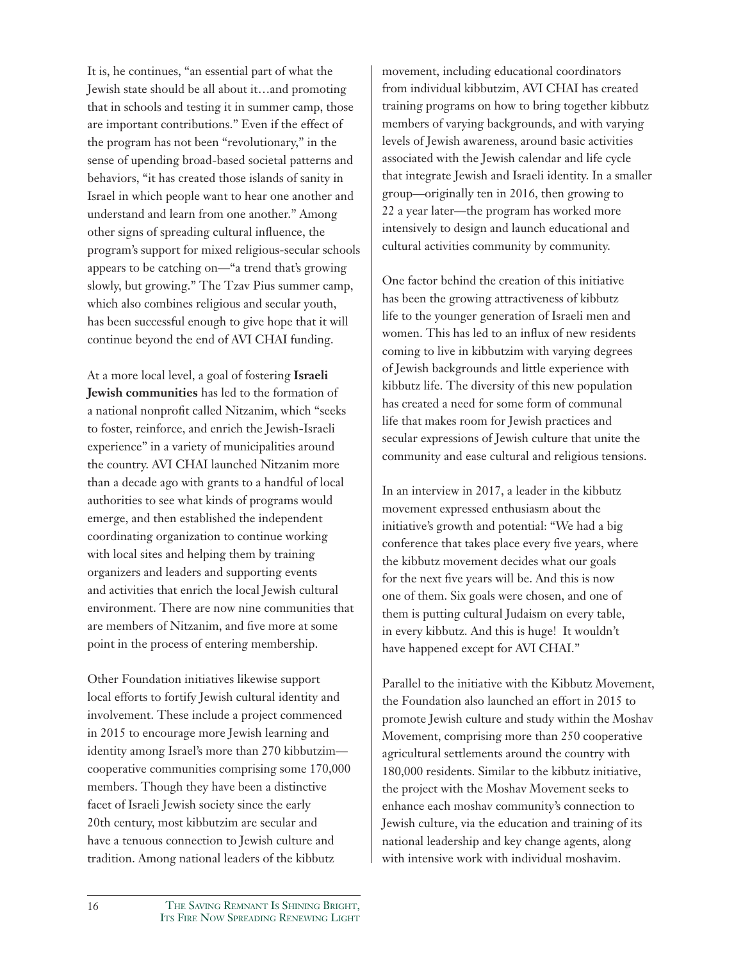It is, he continues, "an essential part of what the Jewish state should be all about it…and promoting that in schools and testing it in summer camp, those are important contributions." Even if the effect of the program has not been "revolutionary," in the sense of upending broad-based societal patterns and behaviors, "it has created those islands of sanity in Israel in which people want to hear one another and understand and learn from one another." Among other signs of spreading cultural influence, the program's support for mixed religious-secular schools appears to be catching on—"a trend that's growing slowly, but growing." The Tzav Pius summer camp, which also combines religious and secular youth, has been successful enough to give hope that it will continue beyond the end of AVI CHAI funding.

At a more local level, a goal of fostering **Israeli Jewish communities** has led to the formation of a national nonprofit called Nitzanim, which "seeks to foster, reinforce, and enrich the Jewish-Israeli experience" in a variety of municipalities around the country. AVI CHAI launched Nitzanim more than a decade ago with grants to a handful of local authorities to see what kinds of programs would emerge, and then established the independent coordinating organization to continue working with local sites and helping them by training organizers and leaders and supporting events and activities that enrich the local Jewish cultural environment. There are now nine communities that are members of Nitzanim, and five more at some point in the process of entering membership.

Other Foundation initiatives likewise support local efforts to fortify Jewish cultural identity and involvement. These include a project commenced in 2015 to encourage more Jewish learning and identity among Israel's more than 270 kibbutzim cooperative communities comprising some 170,000 members. Though they have been a distinctive facet of Israeli Jewish society since the early 20th century, most kibbutzim are secular and have a tenuous connection to Jewish culture and tradition. Among national leaders of the kibbutz

movement, including educational coordinators from individual kibbutzim, AVI CHAI has created training programs on how to bring together kibbutz members of varying backgrounds, and with varying levels of Jewish awareness, around basic activities associated with the Jewish calendar and life cycle that integrate Jewish and Israeli identity. In a smaller group—originally ten in 2016, then growing to 22 a year later—the program has worked more intensively to design and launch educational and cultural activities community by community.

One factor behind the creation of this initiative has been the growing attractiveness of kibbutz life to the younger generation of Israeli men and women. This has led to an influx of new residents coming to live in kibbutzim with varying degrees of Jewish backgrounds and little experience with kibbutz life. The diversity of this new population has created a need for some form of communal life that makes room for Jewish practices and secular expressions of Jewish culture that unite the community and ease cultural and religious tensions.

In an interview in 2017, a leader in the kibbutz movement expressed enthusiasm about the initiative's growth and potential: "We had a big conference that takes place every five years, where the kibbutz movement decides what our goals for the next five years will be. And this is now one of them. Six goals were chosen, and one of them is putting cultural Judaism on every table, in every kibbutz. And this is huge! It wouldn't have happened except for AVI CHAI."

Parallel to the initiative with the Kibbutz Movement, the Foundation also launched an effort in 2015 to promote Jewish culture and study within the Moshav Movement, comprising more than 250 cooperative agricultural settlements around the country with 180,000 residents. Similar to the kibbutz initiative, the project with the Moshav Movement seeks to enhance each moshav community's connection to Jewish culture, via the education and training of its national leadership and key change agents, along with intensive work with individual moshavim.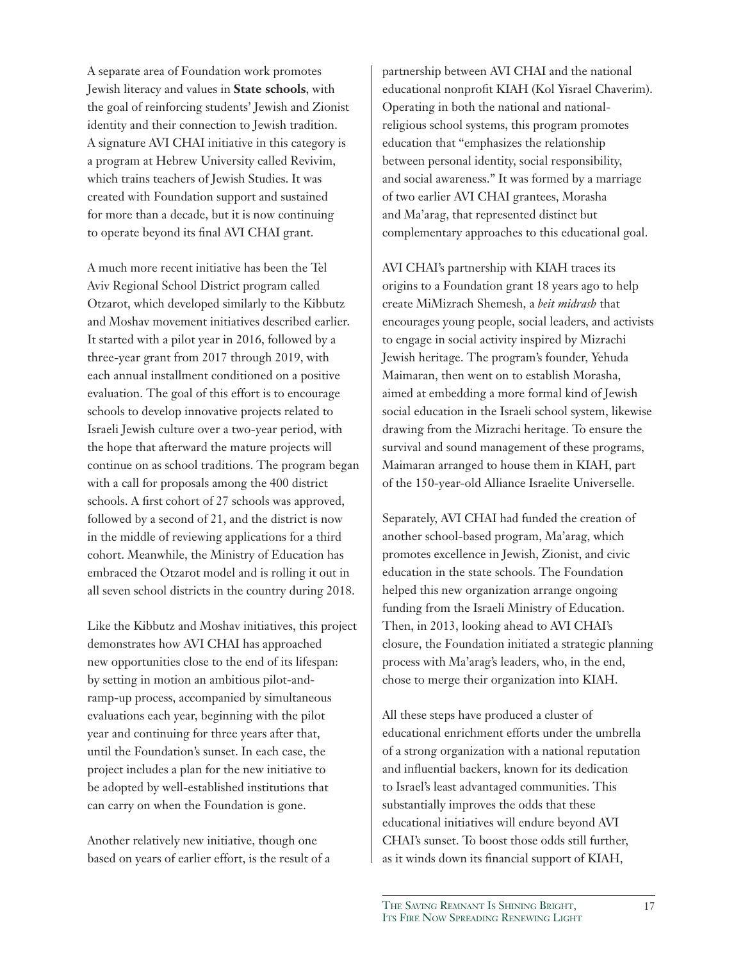A separate area of Foundation work promotes Jewish literacy and values in **State schools**, with the goal of reinforcing students' Jewish and Zionist identity and their connection to Jewish tradition. A signature AVI CHAI initiative in this category is a program at Hebrew University called Revivim, which trains teachers of Jewish Studies. It was created with Foundation support and sustained for more than a decade, but it is now continuing to operate beyond its final AVI CHAI grant.

A much more recent initiative has been the Tel Aviv Regional School District program called Otzarot, which developed similarly to the Kibbutz and Moshav movement initiatives described earlier. It started with a pilot year in 2016, followed by a three-year grant from 2017 through 2019, with each annual installment conditioned on a positive evaluation. The goal of this effort is to encourage schools to develop innovative projects related to Israeli Jewish culture over a two-year period, with the hope that afterward the mature projects will continue on as school traditions. The program began with a call for proposals among the 400 district schools. A first cohort of 27 schools was approved, followed by a second of 21, and the district is now in the middle of reviewing applications for a third cohort. Meanwhile, the Ministry of Education has embraced the Otzarot model and is rolling it out in all seven school districts in the country during 2018.

Like the Kibbutz and Moshav initiatives, this project demonstrates how AVI CHAI has approached new opportunities close to the end of its lifespan: by setting in motion an ambitious pilot-andramp-up process, accompanied by simultaneous evaluations each year, beginning with the pilot year and continuing for three years after that, until the Foundation's sunset. In each case, the project includes a plan for the new initiative to be adopted by well-established institutions that can carry on when the Foundation is gone.

Another relatively new initiative, though one based on years of earlier effort, is the result of a partnership between AVI CHAI and the national educational nonprofit KIAH (Kol Yisrael Chaverim). Operating in both the national and nationalreligious school systems, this program promotes education that "emphasizes the relationship between personal identity, social responsibility, and social awareness." It was formed by a marriage of two earlier AVI CHAI grantees, Morasha and Ma'arag, that represented distinct but complementary approaches to this educational goal.

AVI CHAI's partnership with KIAH traces its origins to a Foundation grant 18 years ago to help create MiMizrach Shemesh, a *beit midrash* that encourages young people, social leaders, and activists to engage in social activity inspired by Mizrachi Jewish heritage. The program's founder, Yehuda Maimaran, then went on to establish Morasha, aimed at embedding a more formal kind of Jewish social education in the Israeli school system, likewise drawing from the Mizrachi heritage. To ensure the survival and sound management of these programs, Maimaran arranged to house them in KIAH, part of the 150-year-old Alliance Israelite Universelle.

Separately, AVI CHAI had funded the creation of another school-based program, Ma'arag, which promotes excellence in Jewish, Zionist, and civic education in the state schools. The Foundation helped this new organization arrange ongoing funding from the Israeli Ministry of Education. Then, in 2013, looking ahead to AVI CHAI's closure, the Foundation initiated a strategic planning process with Ma'arag's leaders, who, in the end, chose to merge their organization into KIAH.

All these steps have produced a cluster of educational enrichment efforts under the umbrella of a strong organization with a national reputation and influential backers, known for its dedication to Israel's least advantaged communities. This substantially improves the odds that these educational initiatives will endure beyond AVI CHAI's sunset. To boost those odds still further, as it winds down its financial support of KIAH,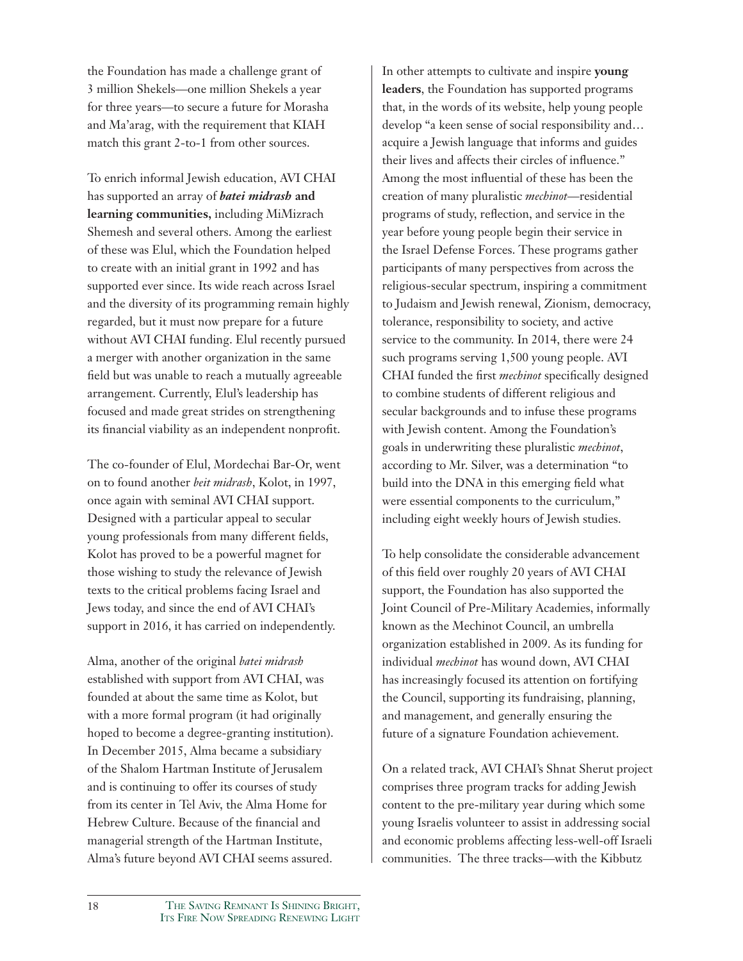the Foundation has made a challenge grant of 3 million Shekels—one million Shekels a year for three years—to secure a future for Morasha and Ma'arag, with the requirement that KIAH match this grant 2-to-1 from other sources.

To enrich informal Jewish education, AVI CHAI has supported an array of *batei midrash* **and learning communities,** including MiMizrach Shemesh and several others. Among the earliest of these was Elul, which the Foundation helped to create with an initial grant in 1992 and has supported ever since. Its wide reach across Israel and the diversity of its programming remain highly regarded, but it must now prepare for a future without AVI CHAI funding. Elul recently pursued a merger with another organization in the same field but was unable to reach a mutually agreeable arrangement. Currently, Elul's leadership has focused and made great strides on strengthening its financial viability as an independent nonprofit.

The co-founder of Elul, Mordechai Bar-Or, went on to found another *beit midrash*, Kolot, in 1997, once again with seminal AVI CHAI support. Designed with a particular appeal to secular young professionals from many different fields, Kolot has proved to be a powerful magnet for those wishing to study the relevance of Jewish texts to the critical problems facing Israel and Jews today, and since the end of AVI CHAI's support in 2016, it has carried on independently.

Alma, another of the original *batei midrash* established with support from AVI CHAI, was founded at about the same time as Kolot, but with a more formal program (it had originally hoped to become a degree-granting institution). In December 2015, Alma became a subsidiary of the Shalom Hartman Institute of Jerusalem and is continuing to offer its courses of study from its center in Tel Aviv, the Alma Home for Hebrew Culture. Because of the financial and managerial strength of the Hartman Institute, Alma's future beyond AVI CHAI seems assured.

In other attempts to cultivate and inspire **young leaders**, the Foundation has supported programs that, in the words of its website, help young people develop "a keen sense of social responsibility and… acquire a Jewish language that informs and guides their lives and affects their circles of influence." Among the most influential of these has been the creation of many pluralistic *mechinot*—residential programs of study, reflection, and service in the year before young people begin their service in the Israel Defense Forces. These programs gather participants of many perspectives from across the religious-secular spectrum, inspiring a commitment to Judaism and Jewish renewal, Zionism, democracy, tolerance, responsibility to society, and active service to the community. In 2014, there were 24 such programs serving 1,500 young people. AVI CHAI funded the first *mechinot* specifically designed to combine students of different religious and secular backgrounds and to infuse these programs with Jewish content. Among the Foundation's goals in underwriting these pluralistic *mechinot*, according to Mr. Silver, was a determination "to build into the DNA in this emerging field what were essential components to the curriculum," including eight weekly hours of Jewish studies.

To help consolidate the considerable advancement of this field over roughly 20 years of AVI CHAI support, the Foundation has also supported the Joint Council of Pre-Military Academies, informally known as the Mechinot Council, an umbrella organization established in 2009. As its funding for individual *mechinot* has wound down, AVI CHAI has increasingly focused its attention on fortifying the Council, supporting its fundraising, planning, and management, and generally ensuring the future of a signature Foundation achievement.

On a related track, AVI CHAI's Shnat Sherut project comprises three program tracks for adding Jewish content to the pre-military year during which some young Israelis volunteer to assist in addressing social and economic problems affecting less-well-off Israeli communities. The three tracks—with the Kibbutz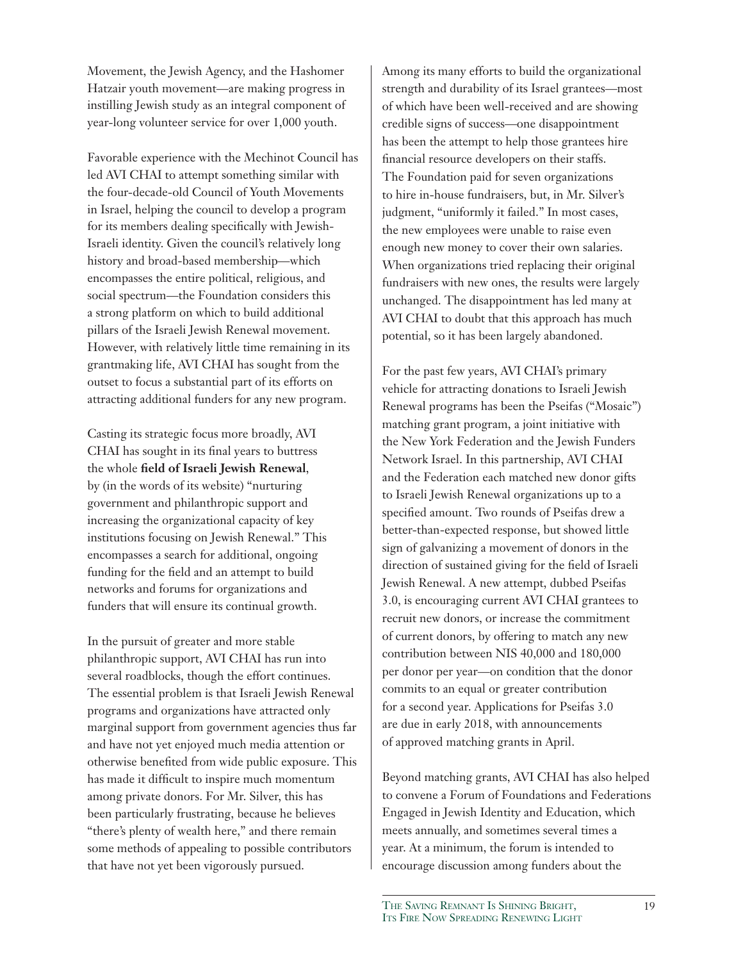Movement, the Jewish Agency, and the Hashomer Hatzair youth movement—are making progress in instilling Jewish study as an integral component of year-long volunteer service for over 1,000 youth.

Favorable experience with the Mechinot Council has led AVI CHAI to attempt something similar with the four-decade-old Council of Youth Movements in Israel, helping the council to develop a program for its members dealing specifically with Jewish-Israeli identity. Given the council's relatively long history and broad-based membership—which encompasses the entire political, religious, and social spectrum—the Foundation considers this a strong platform on which to build additional pillars of the Israeli Jewish Renewal movement. However, with relatively little time remaining in its grantmaking life, AVI CHAI has sought from the outset to focus a substantial part of its efforts on attracting additional funders for any new program.

Casting its strategic focus more broadly, AVI CHAI has sought in its final years to buttress the whole **field of Israeli Jewish Renewal**, by (in the words of its website) "nurturing government and philanthropic support and increasing the organizational capacity of key institutions focusing on Jewish Renewal." This encompasses a search for additional, ongoing funding for the field and an attempt to build networks and forums for organizations and funders that will ensure its continual growth.

In the pursuit of greater and more stable philanthropic support, AVI CHAI has run into several roadblocks, though the effort continues. The essential problem is that Israeli Jewish Renewal programs and organizations have attracted only marginal support from government agencies thus far and have not yet enjoyed much media attention or otherwise benefited from wide public exposure. This has made it difficult to inspire much momentum among private donors. For Mr. Silver, this has been particularly frustrating, because he believes "there's plenty of wealth here," and there remain some methods of appealing to possible contributors that have not yet been vigorously pursued.

Among its many efforts to build the organizational strength and durability of its Israel grantees—most of which have been well-received and are showing credible signs of success—one disappointment has been the attempt to help those grantees hire financial resource developers on their staffs. The Foundation paid for seven organizations to hire in-house fundraisers, but, in Mr. Silver's judgment, "uniformly it failed." In most cases, the new employees were unable to raise even enough new money to cover their own salaries. When organizations tried replacing their original fundraisers with new ones, the results were largely unchanged. The disappointment has led many at AVI CHAI to doubt that this approach has much potential, so it has been largely abandoned.

For the past few years, AVI CHAI's primary vehicle for attracting donations to Israeli Jewish Renewal programs has been the Pseifas ("Mosaic") matching grant program, a joint initiative with the New York Federation and the Jewish Funders Network Israel. In this partnership, AVI CHAI and the Federation each matched new donor gifts to Israeli Jewish Renewal organizations up to a specified amount. Two rounds of Pseifas drew a better-than-expected response, but showed little sign of galvanizing a movement of donors in the direction of sustained giving for the field of Israeli Jewish Renewal. A new attempt, dubbed Pseifas 3.0, is encouraging current AVI CHAI grantees to recruit new donors, or increase the commitment of current donors, by offering to match any new contribution between NIS 40,000 and 180,000 per donor per year—on condition that the donor commits to an equal or greater contribution for a second year. Applications for Pseifas 3.0 are due in early 2018, with announcements of approved matching grants in April.

Beyond matching grants, AVI CHAI has also helped to convene a Forum of Foundations and Federations Engaged in Jewish Identity and Education, which meets annually, and sometimes several times a year. At a minimum, the forum is intended to encourage discussion among funders about the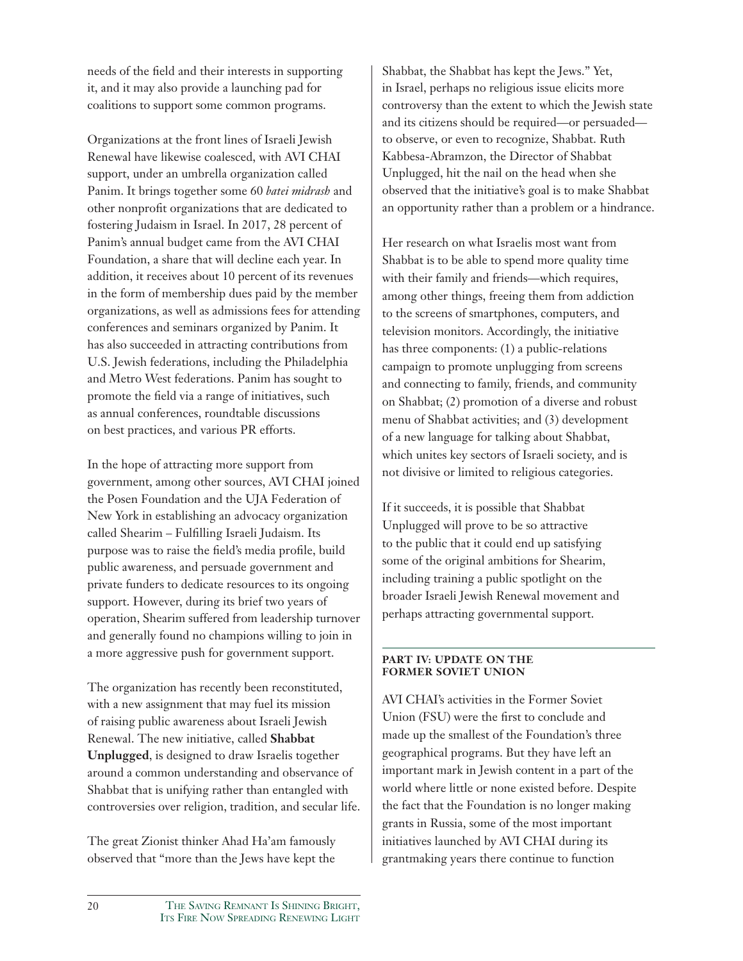needs of the field and their interests in supporting it, and it may also provide a launching pad for coalitions to support some common programs.

Organizations at the front lines of Israeli Jewish Renewal have likewise coalesced, with AVI CHAI support, under an umbrella organization called Panim. It brings together some 60 *batei midrash* and other nonprofit organizations that are dedicated to fostering Judaism in Israel. In 2017, 28 percent of Panim's annual budget came from the AVI CHAI Foundation, a share that will decline each year. In addition, it receives about 10 percent of its revenues in the form of membership dues paid by the member organizations, as well as admissions fees for attending conferences and seminars organized by Panim. It has also succeeded in attracting contributions from U.S. Jewish federations, including the Philadelphia and Metro West federations. Panim has sought to promote the field via a range of initiatives, such as annual conferences, roundtable discussions on best practices, and various PR efforts.

In the hope of attracting more support from government, among other sources, AVI CHAI joined the Posen Foundation and the UJA Federation of New York in establishing an advocacy organization called Shearim – Fulfilling Israeli Judaism. Its purpose was to raise the field's media profile, build public awareness, and persuade government and private funders to dedicate resources to its ongoing support. However, during its brief two years of operation, Shearim suffered from leadership turnover and generally found no champions willing to join in a more aggressive push for government support.

The organization has recently been reconstituted, with a new assignment that may fuel its mission of raising public awareness about Israeli Jewish Renewal. The new initiative, called **Shabbat Unplugged**, is designed to draw Israelis together around a common understanding and observance of Shabbat that is unifying rather than entangled with controversies over religion, tradition, and secular life.

The great Zionist thinker Ahad Ha'am famously observed that "more than the Jews have kept the

Shabbat, the Shabbat has kept the Jews." Yet, in Israel, perhaps no religious issue elicits more controversy than the extent to which the Jewish state and its citizens should be required—or persuaded to observe, or even to recognize, Shabbat. Ruth Kabbesa-Abramzon, the Director of Shabbat Unplugged, hit the nail on the head when she observed that the initiative's goal is to make Shabbat an opportunity rather than a problem or a hindrance.

Her research on what Israelis most want from Shabbat is to be able to spend more quality time with their family and friends—which requires, among other things, freeing them from addiction to the screens of smartphones, computers, and television monitors. Accordingly, the initiative has three components: (1) a public-relations campaign to promote unplugging from screens and connecting to family, friends, and community on Shabbat; (2) promotion of a diverse and robust menu of Shabbat activities; and (3) development of a new language for talking about Shabbat, which unites key sectors of Israeli society, and is not divisive or limited to religious categories.

If it succeeds, it is possible that Shabbat Unplugged will prove to be so attractive to the public that it could end up satisfying some of the original ambitions for Shearim, including training a public spotlight on the broader Israeli Jewish Renewal movement and perhaps attracting governmental support.

#### **PART IV: UPDATE ON THE FORMER SOVIET UNION**

AVI CHAI's activities in the Former Soviet Union (FSU) were the first to conclude and made up the smallest of the Foundation's three geographical programs. But they have left an important mark in Jewish content in a part of the world where little or none existed before. Despite the fact that the Foundation is no longer making grants in Russia, some of the most important initiatives launched by AVI CHAI during its grantmaking years there continue to function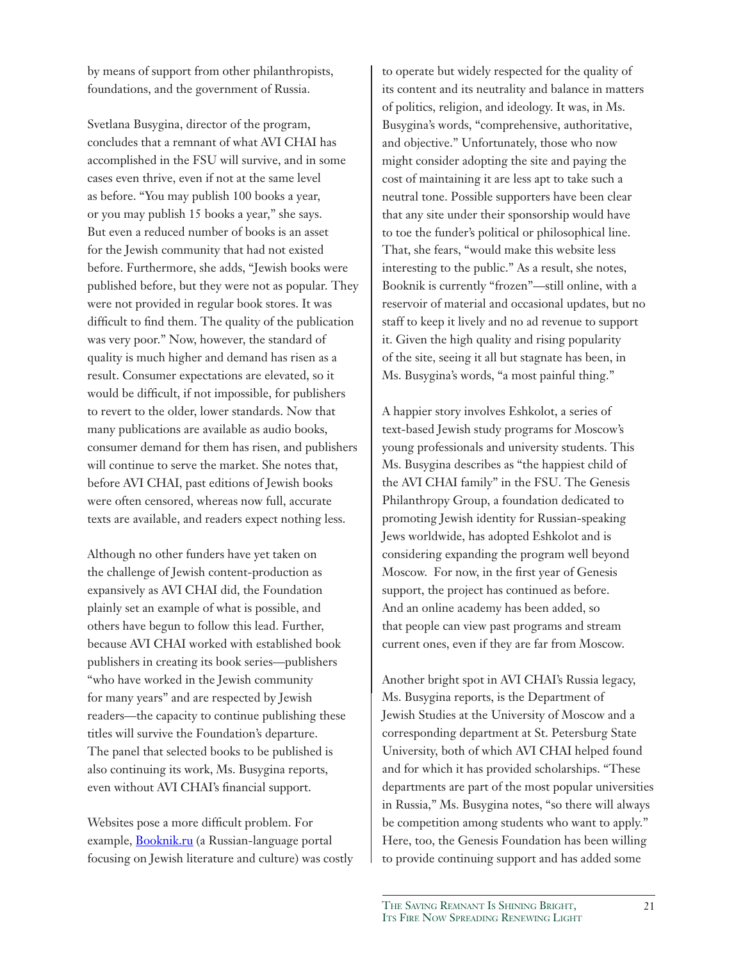by means of support from other philanthropists, foundations, and the government of Russia.

Svetlana Busygina, director of the program, concludes that a remnant of what AVI CHAI has accomplished in the FSU will survive, and in some cases even thrive, even if not at the same level as before. "You may publish 100 books a year, or you may publish 15 books a year," she says. But even a reduced number of books is an asset for the Jewish community that had not existed before. Furthermore, she adds, "Jewish books were published before, but they were not as popular. They were not provided in regular book stores. It was difficult to find them. The quality of the publication was very poor." Now, however, the standard of quality is much higher and demand has risen as a result. Consumer expectations are elevated, so it would be difficult, if not impossible, for publishers to revert to the older, lower standards. Now that many publications are available as audio books, consumer demand for them has risen, and publishers will continue to serve the market. She notes that, before AVI CHAI, past editions of Jewish books were often censored, whereas now full, accurate texts are available, and readers expect nothing less.

Although no other funders have yet taken on the challenge of Jewish content-production as expansively as AVI CHAI did, the Foundation plainly set an example of what is possible, and others have begun to follow this lead. Further, because AVI CHAI worked with established book publishers in creating its book series—publishers "who have worked in the Jewish community for many years" and are respected by Jewish readers—the capacity to continue publishing these titles will survive the Foundation's departure. The panel that selected books to be published is also continuing its work, Ms. Busygina reports, even without AVI CHAI's financial support.

Websites pose a more difficult problem. For example, Booknik.ru (a Russian-language portal focusing on Jewish literature and culture) was costly to operate but widely respected for the quality of its content and its neutrality and balance in matters of politics, religion, and ideology. It was, in Ms. Busygina's words, "comprehensive, authoritative, and objective." Unfortunately, those who now might consider adopting the site and paying the cost of maintaining it are less apt to take such a neutral tone. Possible supporters have been clear that any site under their sponsorship would have to toe the funder's political or philosophical line. That, she fears, "would make this website less interesting to the public." As a result, she notes, Booknik is currently "frozen"—still online, with a reservoir of material and occasional updates, but no staff to keep it lively and no ad revenue to support it. Given the high quality and rising popularity of the site, seeing it all but stagnate has been, in Ms. Busygina's words, "a most painful thing."

A happier story involves Eshkolot, a series of text-based Jewish study programs for Moscow's young professionals and university students. This Ms. Busygina describes as "the happiest child of the AVI CHAI family" in the FSU. The Genesis Philanthropy Group, a foundation dedicated to promoting Jewish identity for Russian-speaking Jews worldwide, has adopted Eshkolot and is considering expanding the program well beyond Moscow. For now, in the first year of Genesis support, the project has continued as before. And an online academy has been added, so that people can view past programs and stream current ones, even if they are far from Moscow.

Another bright spot in AVI CHAI's Russia legacy, Ms. Busygina reports, is the Department of Jewish Studies at the University of Moscow and a corresponding department at St. Petersburg State University, both of which AVI CHAI helped found and for which it has provided scholarships. "These departments are part of the most popular universities in Russia," Ms. Busygina notes, "so there will always be competition among students who want to apply." Here, too, the Genesis Foundation has been willing to provide continuing support and has added some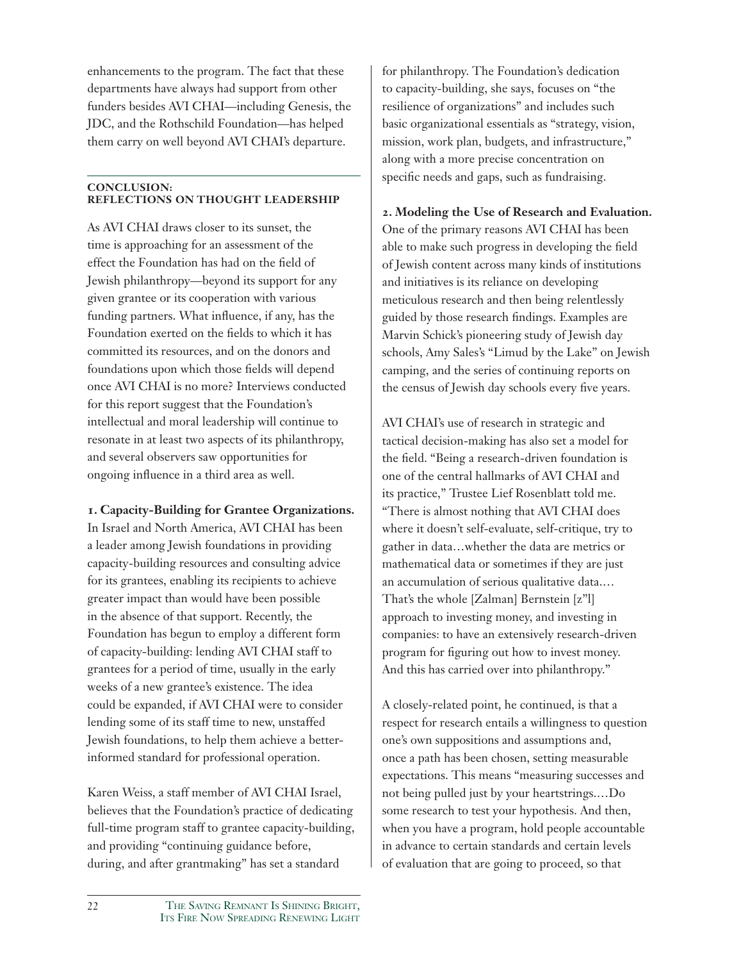enhancements to the program. The fact that these departments have always had support from other funders besides AVI CHAI—including Genesis, the JDC, and the Rothschild Foundation—has helped them carry on well beyond AVI CHAI's departure.

### **CONCLUSION: REFLECTIONS ON THOUGHT LEADERSHIP**

As AVI CHAI draws closer to its sunset, the time is approaching for an assessment of the effect the Foundation has had on the field of Jewish philanthropy—beyond its support for any given grantee or its cooperation with various funding partners. What influence, if any, has the Foundation exerted on the fields to which it has committed its resources, and on the donors and foundations upon which those fields will depend once AVI CHAI is no more? Interviews conducted for this report suggest that the Foundation's intellectual and moral leadership will continue to resonate in at least two aspects of its philanthropy, and several observers saw opportunities for ongoing influence in a third area as well.

**1. Capacity-Building for Grantee Organizations.**

In Israel and North America, AVI CHAI has been a leader among Jewish foundations in providing capacity-building resources and consulting advice for its grantees, enabling its recipients to achieve greater impact than would have been possible in the absence of that support. Recently, the Foundation has begun to employ a different form of capacity-building: lending AVI CHAI staff to grantees for a period of time, usually in the early weeks of a new grantee's existence. The idea could be expanded, if AVI CHAI were to consider lending some of its staff time to new, unstaffed Jewish foundations, to help them achieve a betterinformed standard for professional operation.

Karen Weiss, a staff member of AVI CHAI Israel, believes that the Foundation's practice of dedicating full-time program staff to grantee capacity-building, and providing "continuing guidance before, during, and after grantmaking" has set a standard

for philanthropy. The Foundation's dedication to capacity-building, she says, focuses on "the resilience of organizations" and includes such basic organizational essentials as "strategy, vision, mission, work plan, budgets, and infrastructure," along with a more precise concentration on specific needs and gaps, such as fundraising.

**2. Modeling the Use of Research and Evaluation.** One of the primary reasons AVI CHAI has been able to make such progress in developing the field of Jewish content across many kinds of institutions and initiatives is its reliance on developing meticulous research and then being relentlessly guided by those research findings. Examples are Marvin Schick's pioneering study of Jewish day schools, Amy Sales's "Limud by the Lake" on Jewish camping, and the series of continuing reports on the census of Jewish day schools every five years.

AVI CHAI's use of research in strategic and tactical decision-making has also set a model for the field. "Being a research-driven foundation is one of the central hallmarks of AVI CHAI and its practice," Trustee Lief Rosenblatt told me. "There is almost nothing that AVI CHAI does where it doesn't self-evaluate, self-critique, try to gather in data…whether the data are metrics or mathematical data or sometimes if they are just an accumulation of serious qualitative data.… That's the whole [Zalman] Bernstein [z''l] approach to investing money, and investing in companies: to have an extensively research-driven program for figuring out how to invest money. And this has carried over into philanthropy."

A closely-related point, he continued, is that a respect for research entails a willingness to question one's own suppositions and assumptions and, once a path has been chosen, setting measurable expectations. This means "measuring successes and not being pulled just by your heartstrings.…Do some research to test your hypothesis. And then, when you have a program, hold people accountable in advance to certain standards and certain levels of evaluation that are going to proceed, so that